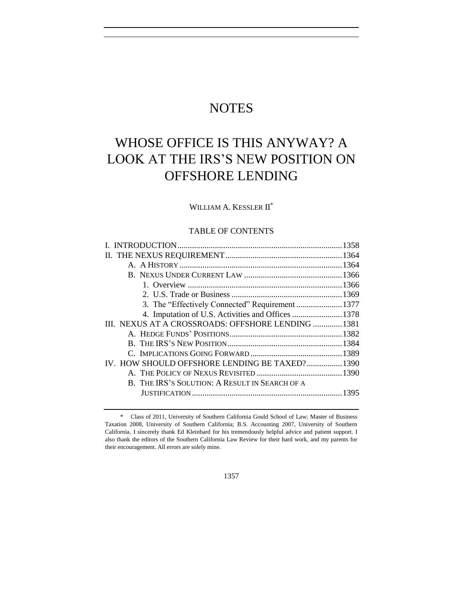# **NOTES**

# WHOSE OFFICE IS THIS ANYWAY? A LOOK AT THE IRS'S NEW POSITION ON OFFSHORE LENDING

WILLIAM A. KESSLER II<sup>\*</sup>

# TABLE OF CONTENTS

| 4. Imputation of U.S. Activities and Offices 1378  |  |
|----------------------------------------------------|--|
| III. NEXUS AT A CROSSROADS: OFFSHORE LENDING  1381 |  |
|                                                    |  |
|                                                    |  |
|                                                    |  |
| IV. HOW SHOULD OFFSHORE LENDING BE TAXED?1390      |  |
|                                                    |  |
| B. THE IRS'S SOLUTION: A RESULT IN SEARCH OF A     |  |
|                                                    |  |
|                                                    |  |

1357

<sup>\*</sup> Class of 2011, University of Southern California Gould School of Law; Master of Business Taxation 2008, University of Southern California; B.S. Accounting 2007, University of Southern California. I sincerely thank Ed Kleinbard for his tremendously helpful advice and patient support. I also thank the editors of the Southern California Law Review for their hard work, and my parents for their encouragement. All errors are solely mine.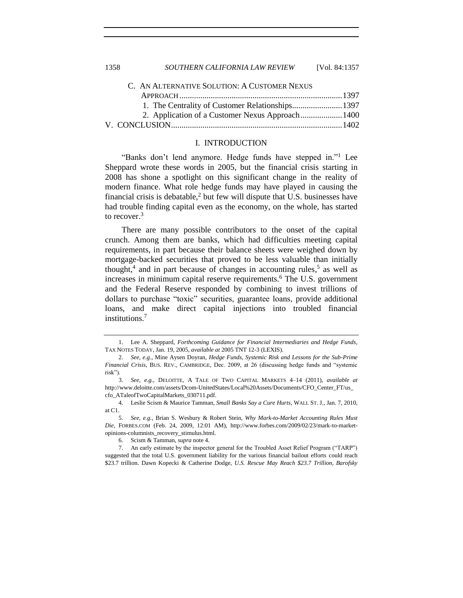1358 *SOUTHERN CALIFORNIA LAW REVIEW* [Vol. 84:1357

| C. AN ALTERNATIVE SOLUTION: A CUSTOMER NEXUS |  |
|----------------------------------------------|--|
|                                              |  |
|                                              |  |
|                                              |  |
|                                              |  |
|                                              |  |

#### <span id="page-1-0"></span>I. INTRODUCTION

"Banks don't lend anymore. Hedge funds have stepped in."<sup>1</sup> Lee Sheppard wrote these words in 2005, but the financial crisis starting in 2008 has shone a spotlight on this significant change in the reality of modern finance. What role hedge funds may have played in causing the financial crisis is debatable, $2$  but few will dispute that U.S. businesses have had trouble finding capital even as the economy, on the whole, has started to recover.<sup>3</sup>

<span id="page-1-1"></span>There are many possible contributors to the onset of the capital crunch. Among them are banks, which had difficulties meeting capital requirements, in part because their balance sheets were weighed down by mortgage-backed securities that proved to be less valuable than initially thought,<sup>4</sup> and in part because of changes in accounting rules,<sup>5</sup> as well as increases in minimum capital reserve requirements.<sup>6</sup> The U.S. government and the Federal Reserve responded by combining to invest trillions of dollars to purchase "toxic" securities, guarantee loans, provide additional loans, and make direct capital injections into troubled financial institutions.<sup>7</sup>

<sup>1.</sup> Lee A. Sheppard, *Forthcoming Guidance for Financial Intermediaries and Hedge Funds*, TAX NOTES TODAY, Jan. 19, 2005, *available at* 2005 TNT 12-3 (LEXIS).

<sup>2.</sup> *See, e.g.*, Mine Aysen Doyran, *Hedge Funds, Systemic Risk and Lessons for the Sub-Prime Financial Crisis*, BUS. REV., CAMBRIDGE, Dec. 2009, at 26 (discussing hedge funds and "systemic risk").

<sup>3.</sup> *See, e.g.*, DELOITTE, A TALE OF TWO CAPITAL MARKETS 4–14 (2011), *available at* http://www.deloitte.com/assets/Dcom-UnitedStates/Local%20Assets/Documents/CFO\_Center\_FT/us\_ cfo\_ATaleofTwoCapitalMarkets\_030711.pdf.

<sup>4.</sup> Leslie Scism & Maurice Tamman, *Small Banks Say a Cure Hurts*, WALL ST. J., Jan. 7, 2010, at C1.

<sup>5.</sup> *See, e.g.*, Brian S. Wesbury & Robert Stein, *Why Mark-to-Market Accounting Rules Must Die*, FORBES.COM (Feb. 24, 2009, 12:01 AM), http://www.forbes.com/2009/02/23/mark-to-marketopinions-columnists\_recovery\_stimulus.html.

<sup>6.</sup> Scism & Tamman, *supra* not[e 4.](#page-1-1)

<sup>7.</sup> An early estimate by the inspector general for the Troubled Asset Relief Program ("TARP") suggested that the total U.S. government liability for the various financial bailout efforts could reach \$23.7 trillion. Dawn Kopecki & Catherine Dodge, *U.S. Rescue May Reach \$23.7 Trillion, Barofsky*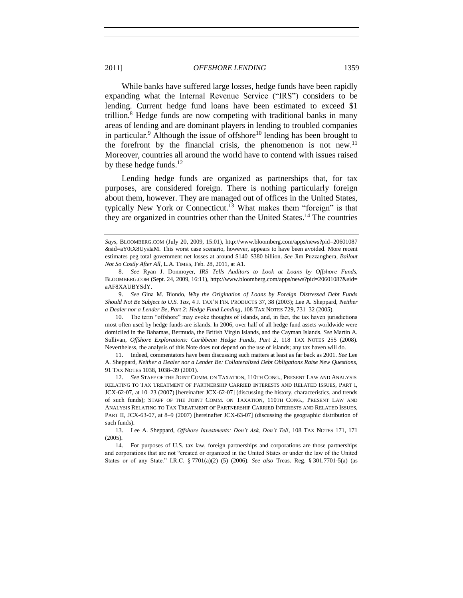<span id="page-2-3"></span>While banks have suffered large losses, hedge funds have been rapidly expanding what the Internal Revenue Service ("IRS") considers to be lending. Current hedge fund loans have been estimated to exceed \$1 trillion.<sup>8</sup> Hedge funds are now competing with traditional banks in many areas of lending and are dominant players in lending to troubled companies in particular.<sup>9</sup> Although the issue of offshore<sup>10</sup> lending has been brought to the forefront by the financial crisis, the phenomenon is not new.<sup>11</sup> Moreover, countries all around the world have to contend with issues raised by these hedge funds. $12$ 

<span id="page-2-5"></span><span id="page-2-4"></span><span id="page-2-2"></span><span id="page-2-1"></span><span id="page-2-0"></span>Lending hedge funds are organized as partnerships that, for tax purposes, are considered foreign. There is nothing particularly foreign about them, however. They are managed out of offices in the United States, typically New York or Connecticut.<sup>13</sup> What makes them "foreign" is that they are organized in countries other than the United States. <sup>14</sup> The countries

9. *See* Gina M. Biondo, *Why the Origination of Loans by Foreign Distressed Debt Funds Should Not Be Subject to U.S. Tax*, 4 J. TAX'N FIN. PRODUCTS 37, 38 (2003); Lee A. Sheppard, *Neither a Dealer nor a Lender Be, Part 2: Hedge Fund Lending*, 108 TAX NOTES 729, 731–32 (2005).

10. The term "offshore" may evoke thoughts of islands, and, in fact, the tax haven jurisdictions most often used by hedge funds are islands. In 2006, over half of all hedge fund assets worldwide were domiciled in the Bahamas, Bermuda, the British Virgin Islands, and the Cayman Islands. *See* Martin A. Sullivan, *Offshore Explorations: Caribbean Hedge Funds, Part 2*, 118 TAX NOTES 255 (2008). Nevertheless, the analysis of this Note does not depend on the use of islands; any tax haven will do.

11. Indeed, commentators have been discussing such matters at least as far back as 2001. *See* Lee A. Sheppard, *Neither a Dealer nor a Lender Be: Collateralized Debt Obligations Raise New Questions*, 91 TAX NOTES 1038, 1038–39 (2001).

*Says*, BLOOMBERG.COM (July 20, 2009, 15:01), http://www.bloomberg.com/apps/news?pid=20601087 &sid=aY0tX8UysIaM. This worst case scenario, however, appears to have been avoided. More recent estimates peg total government net losses at around \$140–\$380 billion. *See* Jim Puzzanghera, *Bailout Not So Costly After All*, L.A. TIMES, Feb. 28, 2011, at A1.

<sup>8.</sup> *See* Ryan J. Donmoyer, *IRS Tells Auditors to Look at Loans by Offshore Funds*, BLOOMBERG.COM (Sept. 24, 2009, 16:11), http://www.bloomberg.com/apps/news?pid=20601087&sid= aAF8XAUBYSdY.

<sup>12.</sup> *See* STAFF OF THE JOINT COMM. ON TAXATION, 110TH CONG., PRESENT LAW AND ANALYSIS RELATING TO TAX TREATMENT OF PARTNERSHIP CARRIED INTERESTS AND RELATED ISSUES, PART I, JCX-62-07, at 10–23 (2007) [hereinafter JCX-62-07] (discussing the history, characteristics, and trends of such funds); STAFF OF THE JOINT COMM. ON TAXATION, 110TH CONG., PRESENT LAW AND ANALYSIS RELATING TO TAX TREATMENT OF PARTNERSHIP CARRIED INTERESTS AND RELATED ISSUES, PART II, JCX-63-07, at 8–9 (2007) [hereinafter JCX-63-07] (discussing the geographic distribution of such funds).

<sup>13.</sup> Lee A. Sheppard, *Offshore Investments: Don't Ask, Don't Tell*, 108 TAX NOTES 171, 171 (2005).

<sup>14.</sup> For purposes of U.S. tax law, foreign partnerships and corporations are those partnerships and corporations that are not "created or organized in the United States or under the law of the United States or of any State.‖ I.R.C. § 7701(a)(2)–(5) (2006). *See also* Treas. Reg. § 301.7701-5(a) (as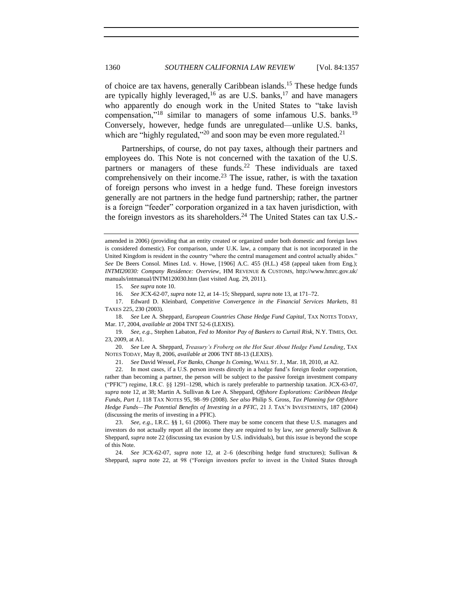<span id="page-3-1"></span>of choice are tax havens, generally Caribbean islands.<sup>15</sup> These hedge funds are typically highly leveraged,<sup>16</sup> as are U.S. banks,<sup>17</sup> and have managers who apparently do enough work in the United States to "take lavish" compensation,"<sup>18</sup> similar to managers of some infamous U.S. banks.<sup>19</sup> Conversely, however, hedge funds are unregulated—unlike U.S. banks, which are "highly regulated,"<sup>20</sup> and soon may be even more regulated.<sup>21</sup>

<span id="page-3-0"></span>Partnerships, of course, do not pay taxes, although their partners and employees do. This Note is not concerned with the taxation of the U.S. partners or managers of these funds.<sup>22</sup> These individuals are taxed comprehensively on their income.<sup>23</sup> The issue, rather, is with the taxation of foreign persons who invest in a hedge fund. These foreign investors generally are not partners in the hedge fund partnership; rather, the partner is a foreign "feeder" corporation organized in a tax haven jurisdiction, with the foreign investors as its shareholders.<sup>24</sup> The United States can tax U.S.-

15. *See supra* not[e 10.](#page-2-0)

18. *See* Lee A. Sheppard, *European Countries Chase Hedge Fund Capital*, TAX NOTES TODAY, Mar. 17, 2004, *available at* 2004 TNT 52-6 (LEXIS).

19. *See, e.g.*, Stephen Labaton, *Fed to Monitor Pay of Bankers to Curtail Risk*, N.Y. TIMES, Oct. 23, 2009, at A1.

20. *See* Lee A. Sheppard, *Treasury's Froberg on the Hot Seat About Hedge Fund Lending*, TAX NOTES TODAY, May 8, 2006, *available at* 2006 TNT 88-13 (LEXIS).

21. *See* David Wessel, *For Banks, Change Is Coming*, WALL ST. J., Mar. 18, 2010, at A2.

22. In most cases, if a U.S. person invests directly in a hedge fund's foreign feeder corporation, rather than becoming a partner, the person will be subject to the passive foreign investment company (―PFIC‖) regime, I.R.C. §§ 1291–1298, which is rarely preferable to partnership taxation. JCX-63-07, *supra* not[e 12,](#page-2-1) at 38; Martin A. Sullivan & Lee A. Sheppard, *Offshore Explorations: Caribbean Hedge Funds, Part 1*, 118 TAX NOTES 95, 98–99 (2008). *See also* Philip S. Gross, *Tax Planning for Offshore Hedge Funds—The Potential Benefits of Investing in a PFIC*, 21 J. TAX'N INVESTMENTS, 187 (2004) (discussing the merits of investing in a PFIC).

24. *See* JCX-62-07, *supra* note [12,](#page-2-1) at 2–6 (describing hedge fund structures); Sullivan & Sheppard, *supra* note [22,](#page-3-0) at 98 ("Foreign investors prefer to invest in the United States through

amended in 2006) (providing that an entity created or organized under both domestic and foreign laws is considered domestic). For comparison, under U.K. law, a company that is not incorporated in the United Kingdom is resident in the country "where the central management and control actually abides." *See* De Beers Consol. Mines Ltd. v. Howe, [1906] A.C. 455 (H.L.) 458 (appeal taken from Eng.); *INTMI20030: Company Residence: Overview*, HM REVENUE & CUSTOMS, http://www.hmrc.gov.uk/ manuals/intmanual/INTM120030.htm (last visited Aug. 29, 2011).

<sup>16.</sup> *See* JCX-62-07, *supra* not[e 12,](#page-2-1) at 14–15; Sheppard, *supra* not[e 13,](#page-2-2) at 171–72.

<sup>17.</sup> Edward D. Kleinbard, *Competitive Convergence in the Financial Services Markets*, 81 TAXES 225, 230 (2003).

<sup>23.</sup> *See, e.g.*, I.R.C. §§ 1, 61 (2006). There may be some concern that these U.S. managers and investors do not actually report all the income they are required to by law, *see generally* Sullivan & Sheppard, *supra* note 22 (discussing tax evasion by U.S. individuals), but this issue is beyond the scope of this Note.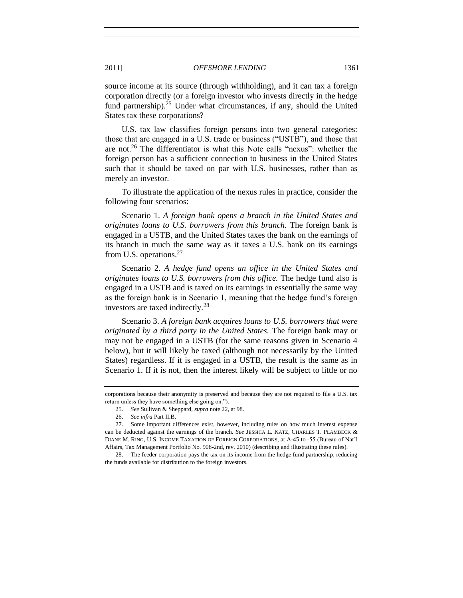source income at its source (through withholding), and it can tax a foreign corporation directly (or a foreign investor who invests directly in the hedge fund partnership).<sup>25</sup> Under what circumstances, if any, should the United States tax these corporations?

U.S. tax law classifies foreign persons into two general categories: those that are engaged in a U.S. trade or business ("USTB"), and those that are not.<sup>26</sup> The differentiator is what this Note calls "nexus": whether the foreign person has a sufficient connection to business in the United States such that it should be taxed on par with U.S. businesses, rather than as merely an investor.

To illustrate the application of the nexus rules in practice, consider the following four scenarios:

Scenario 1. *A foreign bank opens a branch in the United States and originates loans to U.S. borrowers from this branch.* The foreign bank is engaged in a USTB, and the United States taxes the bank on the earnings of its branch in much the same way as it taxes a U.S. bank on its earnings from U.S. operations.<sup>27</sup>

<span id="page-4-0"></span>Scenario 2. *A hedge fund opens an office in the United States and originates loans to U.S. borrowers from this office.* The hedge fund also is engaged in a USTB and is taxed on its earnings in essentially the same way as the foreign bank is in Scenario 1, meaning that the hedge fund's foreign investors are taxed indirectly.<sup>28</sup>

Scenario 3. *A foreign bank acquires loans to U.S. borrowers that were originated by a third party in the United States.* The foreign bank may or may not be engaged in a USTB (for the same reasons given in Scenario 4 below), but it will likely be taxed (although not necessarily by the United States) regardless. If it is engaged in a USTB, the result is the same as in Scenario 1. If it is not, then the interest likely will be subject to little or no

corporations because their anonymity is preserved and because they are not required to file a U.S. tax return unless they have something else going on.").

<sup>25.</sup> *See* Sullivan & Sheppard, *supra* not[e 22,](#page-3-0) at 98.

<sup>26.</sup> *See infra* Part II.B.

<sup>27.</sup> Some important differences exist, however, including rules on how much interest expense can be deducted against the earnings of the branch. *See* JESSICA L. KATZ, CHARLES T. PLAMBECK & DIANE M. RING, U.S. INCOME TAXATION OF FOREIGN CORPORATIONS, at A-45 to -55 (Bureau of Nat'l Affairs, Tax Management Portfolio No. 908-2nd, rev. 2010) (describing and illustrating these rules).

<sup>28.</sup> The feeder corporation pays the tax on its income from the hedge fund partnership, reducing the funds available for distribution to the foreign investors.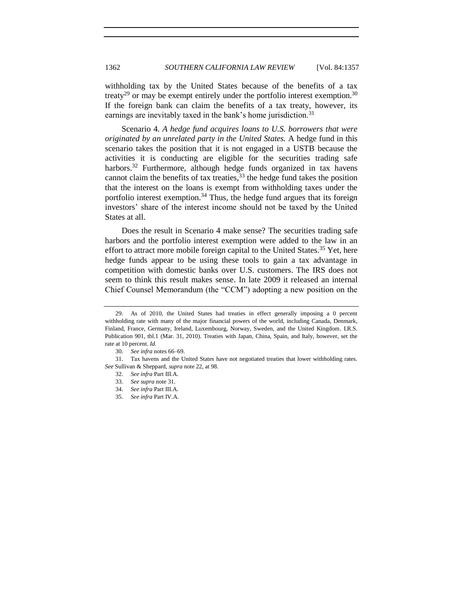withholding tax by the United States because of the benefits of a tax treaty<sup>29</sup> or may be exempt entirely under the portfolio interest exemption.<sup>30</sup> If the foreign bank can claim the benefits of a tax treaty, however, its earnings are inevitably taxed in the bank's home jurisdiction.<sup>31</sup>

<span id="page-5-0"></span>Scenario 4. *A hedge fund acquires loans to U.S. borrowers that were originated by an unrelated party in the United States.* A hedge fund in this scenario takes the position that it is not engaged in a USTB because the activities it is conducting are eligible for the securities trading safe harbors.<sup>32</sup> Furthermore, although hedge funds organized in tax havens cannot claim the benefits of tax treaties,  $33$  the hedge fund takes the position that the interest on the loans is exempt from withholding taxes under the portfolio interest exemption.<sup>34</sup> Thus, the hedge fund argues that its foreign investors' share of the interest income should not be taxed by the United States at all.

Does the result in Scenario 4 make sense? The securities trading safe harbors and the portfolio interest exemption were added to the law in an effort to attract more mobile foreign capital to the United States.<sup>35</sup> Yet, here hedge funds appear to be using these tools to gain a tax advantage in competition with domestic banks over U.S. customers. The IRS does not seem to think this result makes sense. In late 2009 it released an internal Chief Counsel Memorandum (the "CCM") adopting a new position on the

<sup>29.</sup> As of 2010, the United States had treaties in effect generally imposing a 0 percent withholding rate with many of the major financial powers of the world, including Canada, Denmark, Finland, France, Germany, Ireland, Luxembourg, Norway, Sweden, and the United Kingdom. I.R.S. Publication 901, tbl.1 (Mar. 31, 2010). Treaties with Japan, China, Spain, and Italy, however, set the rate at 10 percent. *Id.*

<sup>30.</sup> *See infra* note[s 66](#page-10-0)[–69.](#page-11-0)

<sup>31.</sup> Tax havens and the United States have not negotiated treaties that lower withholding rates. *See* Sullivan & Sheppard, *supra* not[e 22,](#page-3-0) at 98.

<sup>32.</sup> *See infra* Part III.A.

<sup>33.</sup> *See supra* not[e 31.](#page-5-0)

<sup>34.</sup> *See infra* Part III.A.

<sup>35.</sup> *See infra* Part IV.A.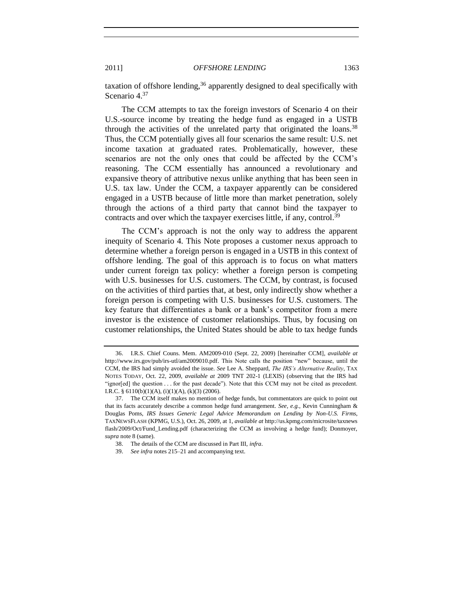<span id="page-6-1"></span>taxation of offshore lending,  $36$  apparently designed to deal specifically with Scenario 4.<sup>37</sup>

The CCM attempts to tax the foreign investors of Scenario 4 on their U.S.-source income by treating the hedge fund as engaged in a USTB through the activities of the unrelated party that originated the loans.<sup>38</sup> Thus, the CCM potentially gives all four scenarios the same result: U.S. net income taxation at graduated rates. Problematically, however, these scenarios are not the only ones that could be affected by the CCM's reasoning. The CCM essentially has announced a revolutionary and expansive theory of attributive nexus unlike anything that has been seen in U.S. tax law. Under the CCM, a taxpayer apparently can be considered engaged in a USTB because of little more than market penetration, solely through the actions of a third party that cannot bind the taxpayer to contracts and over which the taxpayer exercises little, if any, control.<sup>39</sup>

The CCM's approach is not the only way to address the apparent inequity of Scenario 4. This Note proposes a customer nexus approach to determine whether a foreign person is engaged in a USTB in this context of offshore lending. The goal of this approach is to focus on what matters under current foreign tax policy: whether a foreign person is competing with U.S. businesses for U.S. customers. The CCM, by contrast, is focused on the activities of third parties that, at best, only indirectly show whether a foreign person is competing with U.S. businesses for U.S. customers. The key feature that differentiates a bank or a bank's competitor from a mere investor is the existence of customer relationships. Thus, by focusing on customer relationships, the United States should be able to tax hedge funds

<span id="page-6-0"></span>

<sup>36.</sup> I.R.S. Chief Couns. Mem. AM2009-010 (Sept. 22, 2009) [hereinafter CCM], *available at* http:/[/www.irs.gov/pub/irs-utl/am2009010.pdf.](http://www.irs.gov/pub/irs-utl/am2009010.pdf) This Note calls the position "new" because, until the CCM, the IRS had simply avoided the issue. *See* Lee A. Sheppard, *The IRS's Alternative Reality*, TAX NOTES TODAY, Oct. 22, 2009, *available at* 2009 TNT 202-1 (LEXIS) (observing that the IRS had "ignor $[ed]$  the question  $\ldots$  for the past decade"). Note that this CCM may not be cited as precedent. I.R.C. §  $6110(b)(1)(A)$ ,  $(i)(1)(A)$ ,  $(k)(3)(2006)$ .

<sup>37.</sup> The CCM itself makes no mention of hedge funds, but commentators are quick to point out that its facts accurately describe a common hedge fund arrangement. *See, e.g.*, Kevin Cunningham & Douglas Poms, *IRS Issues Generic Legal Advice Memorandum on Lending by Non-U.S. Firms*, TAXNEWSFLASH (KPMG, U.S.), Oct. 26, 2009, at 1, *available at* http://us.kpmg.com/microsite/taxnews flash/2009/Oct/Fund\_Lending.pdf (characterizing the CCM as involving a hedge fund); Donmoyer, *supra* not[e 8](#page-2-3) (same).

<sup>38.</sup> The details of the CCM are discussed in Part III, *infra*.

<sup>39.</sup> *See infra* note[s 215](#page-31-0)[–21](#page-31-1) and accompanying text.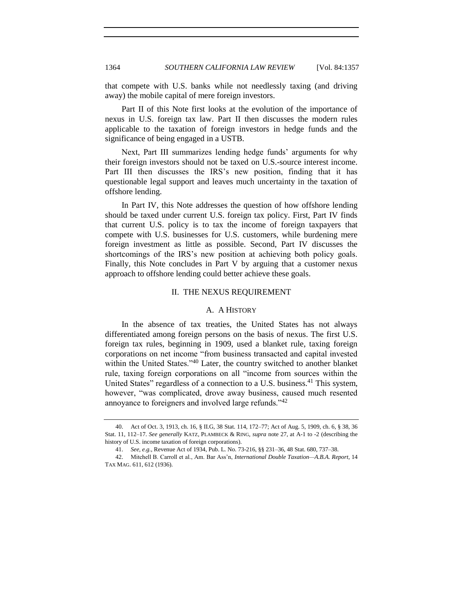that compete with U.S. banks while not needlessly taxing (and driving away) the mobile capital of mere foreign investors.

Part II of this Note first looks at the evolution of the importance of nexus in U.S. foreign tax law. Part II then discusses the modern rules applicable to the taxation of foreign investors in hedge funds and the significance of being engaged in a USTB.

Next, Part III summarizes lending hedge funds' arguments for why their foreign investors should not be taxed on U.S.-source interest income. Part III then discusses the IRS's new position, finding that it has questionable legal support and leaves much uncertainty in the taxation of offshore lending.

In Part IV, this Note addresses the question of how offshore lending should be taxed under current U.S. foreign tax policy. First, Part IV finds that current U.S. policy is to tax the income of foreign taxpayers that compete with U.S. businesses for U.S. customers, while burdening mere foreign investment as little as possible. Second, Part IV discusses the shortcomings of the IRS's new position at achieving both policy goals. Finally, this Note concludes in Part V by arguing that a customer nexus approach to offshore lending could better achieve these goals.

#### II. THE NEXUS REQUIREMENT

# <span id="page-7-2"></span>A. A HISTORY

<span id="page-7-1"></span><span id="page-7-0"></span>In the absence of tax treaties, the United States has not always differentiated among foreign persons on the basis of nexus. The first U.S. foreign tax rules, beginning in 1909, used a blanket rule, taxing foreign corporations on net income "from business transacted and capital invested within the United States.<sup>340</sup> Later, the country switched to another blanket rule, taxing foreign corporations on all "income from sources within the United States" regardless of a connection to a U.S. business.<sup>41</sup> This system, however, "was complicated, drove away business, caused much resented annoyance to foreigners and involved large refunds.<sup>142</sup>

<sup>40.</sup> Act of Oct. 3, 1913, ch. 16, § II.G, 38 Stat. 114, 172–77; Act of Aug. 5, 1909, ch. 6, § 38, 36 Stat. 11, 112–17. *See generally* KATZ, PLAMBECK & RING, *supra* note [27,](#page-4-0) at A-1 to -2 (describing the history of U.S. income taxation of foreign corporations).

<sup>41.</sup> *See, e.g.*, Revenue Act of 1934, Pub. L. No. 73-216, §§ 231–36, 48 Stat. 680, 737–38.

<sup>42.</sup> Mitchell B. Carroll et al., Am. Bar Ass'n, *International Double Taxation—A.B.A. Report*, 14 TAX MAG. 611, 612 (1936).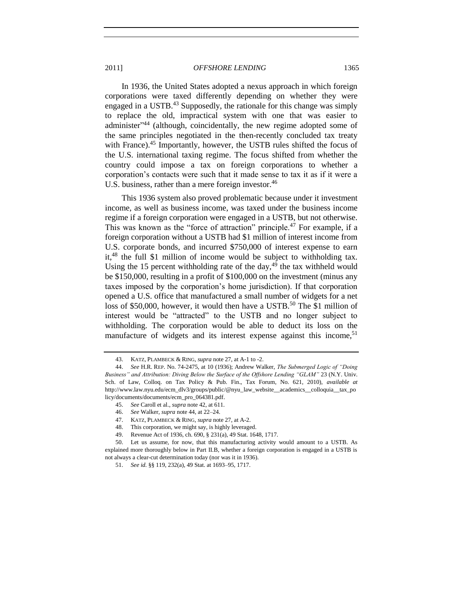<span id="page-8-2"></span><span id="page-8-1"></span><span id="page-8-0"></span>In 1936, the United States adopted a nexus approach in which foreign corporations were taxed differently depending on whether they were engaged in a USTB. $43$  Supposedly, the rationale for this change was simply to replace the old, impractical system with one that was easier to administer<sup>344</sup> (although, coincidentally, the new regime adopted some of the same principles negotiated in the then-recently concluded tax treaty with France).<sup>45</sup> Importantly, however, the USTB rules shifted the focus of the U.S. international taxing regime. The focus shifted from whether the country could impose a tax on foreign corporations to whether a corporation's contacts were such that it made sense to tax it as if it were a U.S. business, rather than a mere foreign investor.<sup>46</sup>

<span id="page-8-3"></span>This 1936 system also proved problematic because under it investment income, as well as business income, was taxed under the business income regime if a foreign corporation were engaged in a USTB, but not otherwise. This was known as the "force of attraction" principle.<sup>47</sup> For example, if a foreign corporation without a USTB had \$1 million of interest income from U.S. corporate bonds, and incurred \$750,000 of interest expense to earn it,<sup>48</sup> the full \$1 million of income would be subject to withholding tax. Using the 15 percent withholding rate of the day,  $49$  the tax withheld would be \$150,000, resulting in a profit of \$100,000 on the investment (minus any taxes imposed by the corporation's home jurisdiction). If that corporation opened a U.S. office that manufactured a small number of widgets for a net loss of \$50,000, however, it would then have a USTB.<sup>50</sup> The \$1 million of interest would be "attracted" to the USTB and no longer subject to withholding. The corporation would be able to deduct its loss on the manufacture of widgets and its interest expense against this income,<sup>51</sup>

<sup>43.</sup> KATZ, PLAMBECK & RING, *supra* not[e 27,](#page-4-0) at A-1 to -2.

<sup>44.</sup> *See* H.R. REP. No. 74-2475, at 10 (1936); Andrew Walker, *The Submerged Logic of "Doing Business" and Attribution: Diving Below the Surface of the Offshore Lending "GLAM"* 23 (N.Y. Univ. Sch. of Law, Colloq. on Tax Policy & Pub. Fin., Tax Forum, No. 621, 2010), *available at* [http://www.law.nyu.edu/ecm\\_dlv3/groups/public/@nyu\\_law\\_website\\_\\_academics\\_\\_colloquia\\_\\_tax\\_po](http://www.law.nyu.edu/ecm_dlv3/groups/public/@nyu_law_website__academics__colloquia__tax_policy/documents/documents/ecm_pro_064381.pdf) [licy/documents/documents/ecm\\_pro\\_064381.pdf.](http://www.law.nyu.edu/ecm_dlv3/groups/public/@nyu_law_website__academics__colloquia__tax_policy/documents/documents/ecm_pro_064381.pdf)

<sup>45.</sup> *See* Caroll et al., *supra* not[e 42,](#page-7-2) at 611.

<sup>46.</sup> *See* Walker, *supra* not[e 44,](#page-8-0) at 22–24.

<sup>47.</sup> KATZ, PLAMBECK & RING, *supra* not[e 27,](#page-4-0) at A-2.

<sup>48.</sup> This corporation, we might say, is highly leveraged.

<sup>49.</sup> Revenue Act of 1936, ch. 690, § 231(a), 49 Stat. 1648, 1717.

<sup>50.</sup> Let us assume, for now, that this manufacturing activity would amount to a USTB. As explained more thoroughly below in Part II.B, whether a foreign corporation is engaged in a USTB is not always a clear-cut determination today (nor was it in 1936).

<sup>51.</sup> *See id.* §§ 119, 232(a), 49 Stat. at 1693–95, 1717.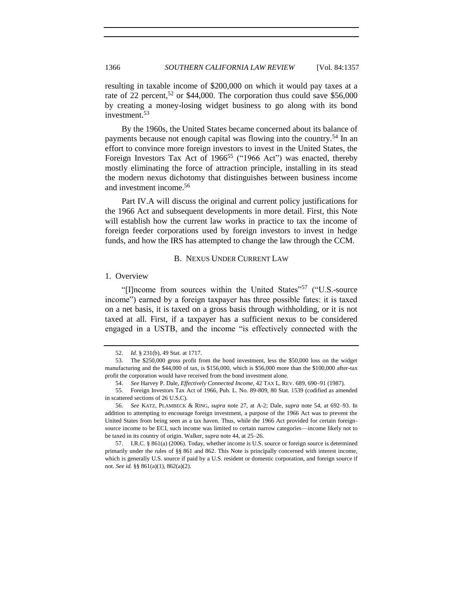resulting in taxable income of \$200,000 on which it would pay taxes at a rate of 22 percent,<sup>52</sup> or \$44,000. The corporation thus could save \$56,000 by creating a money-losing widget business to go along with its bond investment.<sup>53</sup>

By the 1960s, the United States became concerned about its balance of payments because not enough capital was flowing into the country.<sup>54</sup> In an effort to convince more foreign investors to invest in the United States, the Foreign Investors Tax Act of  $1966^{55}$  ("1966 Act") was enacted, thereby mostly eliminating the force of attraction principle, installing in its stead the modern nexus dichotomy that distinguishes between business income and investment income.<sup>56</sup>

Part IV.A will discuss the original and current policy justifications for the 1966 Act and subsequent developments in more detail. First, this Note will establish how the current law works in practice to tax the income of foreign feeder corporations used by foreign investors to invest in hedge funds, and how the IRS has attempted to change the law through the CCM.

#### <span id="page-9-3"></span><span id="page-9-2"></span>B. NEXUS UNDER CURRENT LAW

# <span id="page-9-1"></span><span id="page-9-0"></span>1. Overview

"[I]ncome from sources within the United States"<sup>57</sup> ("U.S.-source") income") earned by a foreign taxpayer has three possible fates: it is taxed on a net basis, it is taxed on a gross basis through withholding, or it is not taxed at all. First, if a taxpayer has a sufficient nexus to be considered engaged in a USTB, and the income "is effectively connected with the

<sup>52.</sup> *Id.* § 231(b), 49 Stat. at 1717.

<sup>53.</sup> The \$250,000 gross profit from the bond investment, less the \$50,000 loss on the widget manufacturing and the \$44,000 of tax, is \$156,000, which is \$56,000 more than the \$100,000 after-tax profit the corporation would have received from the bond investment alone.

<sup>54.</sup> *See* Harvey P. Dale, *Effectively Connected Income*, 42 TAX L. REV. 689, 690–91 (1987).

<sup>55.</sup> Foreign Investors Tax Act of 1966, Pub. L. No. 89-809, 80 Stat. 1539 (codified as amended in scattered sections of 26 U.S.C).

<sup>56.</sup> *See* KATZ, PLAMBECK & RING, *supra* note [27,](#page-4-0) at A-2; Dale, *supra* note [54,](#page-9-2) at 692–93. In addition to attempting to encourage foreign investment, a purpose of the 1966 Act was to prevent the United States from being seen as a tax haven. Thus, while the 1966 Act provided for certain foreignsource income to be ECI, such income was limited to certain narrow categories—income likely not to be taxed in its country of origin. Walker, *supra* not[e 44,](#page-8-0) at 25–26.

<sup>57.</sup> I.R.C. § 861(a) (2006). Today, whether income is U.S. source or foreign source is determined primarily under the rules of §§ 861 and 862. This Note is principally concerned with interest income, which is generally U.S. source if paid by a U.S. resident or domestic corporation, and foreign source if not. *See id.* §§ 861(a)(1), 862(a)(2).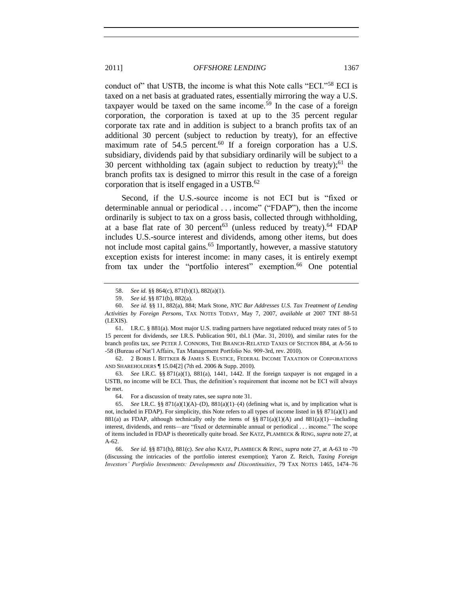conduct of" that USTB, the income is what this Note calls "ECI."<sup>58</sup> ECI is taxed on a net basis at graduated rates, essentially mirroring the way a U.S. taxpayer would be taxed on the same income.<sup>59</sup> In the case of a foreign corporation, the corporation is taxed at up to the 35 percent regular corporate tax rate and in addition is subject to a branch profits tax of an additional 30 percent (subject to reduction by treaty), for an effective maximum rate of  $54.5$  percent.<sup>60</sup> If a foreign corporation has a U.S. subsidiary, dividends paid by that subsidiary ordinarily will be subject to a 30 percent withholding tax (again subject to reduction by treaty);<sup>61</sup> the branch profits tax is designed to mirror this result in the case of a foreign corporation that is itself engaged in a USTB.<sup>62</sup>

<span id="page-10-3"></span><span id="page-10-2"></span><span id="page-10-1"></span>Second, if the U.S.-source income is not ECI but is "fixed or determinable annual or periodical . . . income" ("FDAP"), then the income ordinarily is subject to tax on a gross basis, collected through withholding, at a base flat rate of 30 percent<sup>63</sup> (unless reduced by treaty).<sup>64</sup> FDAP includes U.S.-source interest and dividends, among other items, but does not include most capital gains.<sup>65</sup> Importantly, however, a massive statutory exception exists for interest income: in many cases, it is entirely exempt from tax under the "portfolio interest" exemption.<sup>66</sup> One potential

61. I.R.C. § 881(a). Most major U.S. trading partners have negotiated reduced treaty rates of 5 to 15 percent for dividends, *see* I.R.S. Publication 901, tbl.1 (Mar. 31, 2010), and similar rates for the branch profits tax, *see* PETER J. CONNORS, THE BRANCH-RELATED TAXES OF SECTION 884, at A-56 to -58 (Bureau of Nat'l Affairs, Tax Management Portfolio No. 909-3rd, rev. 2010).

62. 2 BORIS I. BITTKER & JAMES S. EUSTICE, FEDERAL INCOME TAXATION OF CORPORATIONS AND SHAREHOLDERS ¶ 15.04[2] (7th ed. 2006 & Supp. 2010).

63*. See* I.R.C. §§ 871(a)(1), 881(a), 1441, 1442. If the foreign taxpayer is not engaged in a USTB, no income will be ECI. Thus, the definition's requirement that income not be ECI will always be met.

64. For a discussion of treaty rates, see *supra* not[e 31.](#page-5-0)

65. *See* I.R.C. §§  $871(a)(1)(A)$ –(D),  $881(a)(1)$ –(4) (defining what is, and by implication what is not, included in FDAP). For simplicity, this Note refers to all types of income listed in §§ 871(a)(1) and 881(a) as FDAP, although technically only the items of §§ 871(a)(1)(A) and 881(a)(1)—including interest, dividends, and rents—are "fixed or determinable annual or periodical . . . income." The scope of items included in FDAP is theoretically quite broad. *See* KATZ, PLAMBECK & RING, *supra* not[e 27,](#page-4-0) at A-62.

66. *See id.* §§ 871(h), 881(c). *See also* KATZ, PLAMBECK & RING, *supra* not[e 27,](#page-4-0) at A-63 to -70 (discussing the intricacies of the portfolio interest exemption); Yaron Z. Reich, *Taxing Foreign Investors' Portfolio Investments: Developments and Discontinuities*, 79 TAX NOTES 1465, 1474–76

<span id="page-10-0"></span><sup>58.</sup> *See id.* §§ 864(c), 871(b)(1), 882(a)(1).

<sup>59.</sup> *See id.* §§ 871(b), 882(a).

<sup>60.</sup> *See id.* §§ 11, 882(a), 884; Mark Stone, *NYC Bar Addresses U.S. Tax Treatment of Lending Activities by Foreign Persons*, TAX NOTES TODAY, May 7, 2007, *available at* 2007 TNT 88-51 (LEXIS).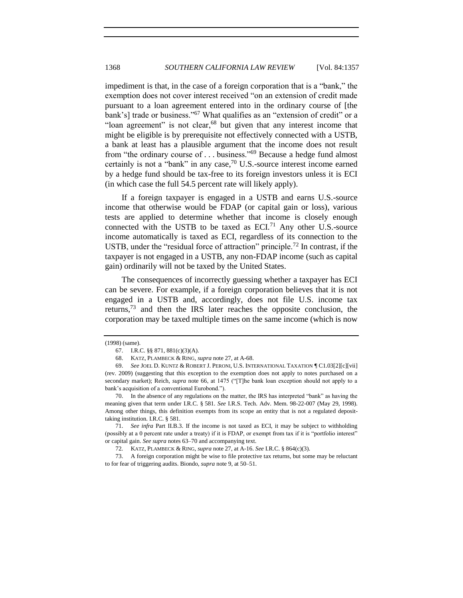<span id="page-11-3"></span>impediment is that, in the case of a foreign corporation that is a "bank," the exemption does not cover interest received "on an extension of credit made pursuant to a loan agreement entered into in the ordinary course of [the bank's] trade or business."<sup>67</sup> What qualifies as an "extension of credit" or a "loan agreement" is not clear,  $68$  but given that any interest income that might be eligible is by prerequisite not effectively connected with a USTB, a bank at least has a plausible argument that the income does not result from "the ordinary course of  $\dots$  business."<sup>69</sup> Because a hedge fund almost certainly is not a "bank" in any case,<sup>70</sup> U.S.-source interest income earned by a hedge fund should be tax-free to its foreign investors unless it is ECI (in which case the full 54.5 percent rate will likely apply).

<span id="page-11-1"></span><span id="page-11-0"></span>If a foreign taxpayer is engaged in a USTB and earns U.S.-source income that otherwise would be FDAP (or capital gain or loss), various tests are applied to determine whether that income is closely enough connected with the USTB to be taxed as  $ECI<sup>71</sup>$  Any other U.S.-source income automatically is taxed as ECI, regardless of its connection to the USTB, under the "residual force of attraction" principle.<sup>72</sup> In contrast, if the taxpayer is not engaged in a USTB, any non-FDAP income (such as capital gain) ordinarily will not be taxed by the United States.

<span id="page-11-2"></span>The consequences of incorrectly guessing whether a taxpayer has ECI can be severe. For example, if a foreign corporation believes that it is not engaged in a USTB and, accordingly, does not file U.S. income tax returns,  $73$  and then the IRS later reaches the opposite conclusion, the corporation may be taxed multiple times on the same income (which is now

70. In the absence of any regulations on the matter, the IRS has interpreted "bank" as having the meaning given that term under I.R.C. § 581. *See* I.R.S. Tech. Adv. Mem. 98-22-007 (May 29, 1998). Among other things, this definition exempts from its scope an entity that is not a regulated deposittaking institution. I.R.C. § 581.

71. *See infra* Part II.B.3. If the income is not taxed as ECI, it may be subject to withholding (possibly at a 0 percent rate under a treaty) if it is FDAP, or exempt from tax if it is "portfolio interest" or capital gain. *See supra* note[s 63](#page-10-1)[–70](#page-11-1) and accompanying text.

72*.* KATZ, PLAMBECK & RING, *supra* not[e 27,](#page-4-0) at A-16. *See* I.R.C. § 864(c)(3).

73. A foreign corporation might be wise to file protective tax returns, but some may be reluctant to for fear of triggering audits. Biondo, *supra* not[e 9,](#page-2-4) at 50–51.

<sup>(1998) (</sup>same).

<sup>67.</sup> I.R.C. §§ 871, 881(c)(3)(A).

<sup>68.</sup> KATZ, PLAMBECK & RING, *supra* not[e 27,](#page-4-0) at A-68.

<sup>69.</sup> *See* JOEL D. KUNTZ & ROBERT J. PERONI, U.S. INTERNATIONAL TAXATION ¶ C1.03[2][c][vii] (rev. 2009) (suggesting that this exception to the exemption does not apply to notes purchased on a secondary market); Reich, *supra* note [66,](#page-10-0) at 1475 ("[T]he bank loan exception should not apply to a bank's acquisition of a conventional Eurobond.").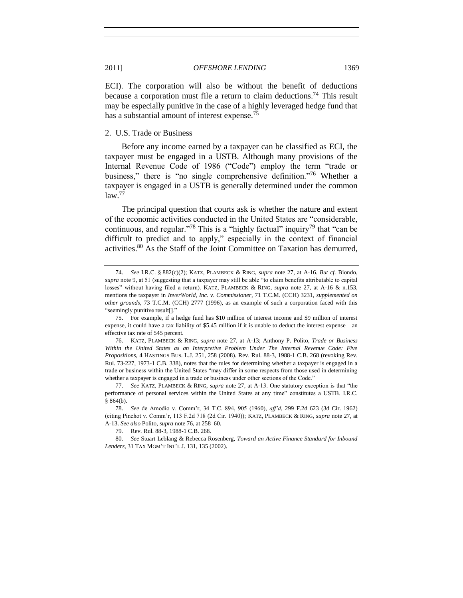ECI). The corporation will also be without the benefit of deductions because a corporation must file a return to claim deductions.<sup>74</sup> This result may be especially punitive in the case of a highly leveraged hedge fund that has a substantial amount of interest expense.<sup>75</sup>

#### <span id="page-12-0"></span>2. U.S. Trade or Business

<span id="page-12-1"></span>Before any income earned by a taxpayer can be classified as ECI, the taxpayer must be engaged in a USTB. Although many provisions of the Internal Revenue Code of 1986 ("Code") employ the term "trade or business," there is "no single comprehensive definition."<sup>76</sup> Whether a taxpayer is engaged in a USTB is generally determined under the common  $law.<sup>77</sup>$ 

The principal question that courts ask is whether the nature and extent of the economic activities conducted in the United States are "considerable, continuous, and regular.<sup>778</sup> This is a "highly factual" inquiry<sup>79</sup> that "can be difficult to predict and to apply," especially in the context of financial activities.<sup>80</sup> As the Staff of the Joint Committee on Taxation has demurred,

<span id="page-12-2"></span><sup>74.</sup> *See* I.R.C. § 882(c)(2); KATZ, PLAMBECK & RING, *supra* note [27,](#page-4-0) at A-16. *But cf.* Biondo, supra not[e 9,](#page-2-4) at 51 (suggesting that a taxpayer may still be able "to claim benefits attributable to capital losses" without having filed a return). KATZ, PLAMBECK & RING, *supra* note [27,](#page-4-0) at A-16 & n.153, mentions the taxpayer in *InverWorld, Inc. v. Commissioner*, 71 T.C.M. (CCH) 3231, *supplemented on other grounds*, 73 T.C.M. (CCH) 2777 (1996), as an example of such a corporation faced with this "seemingly punitive result[]."

<sup>75.</sup> For example, if a hedge fund has \$10 million of interest income and \$9 million of interest expense, it could have a tax liability of \$5.45 million if it is unable to deduct the interest expense—an effective tax rate of 545 percent.

<sup>76.</sup> KATZ, PLAMBECK & RING, *supra* note [27,](#page-4-0) at A-13; Anthony P. Polito, *Trade or Business Within the United States as an Interpretive Problem Under The Internal Revenue Code: Five Propositions*, 4 HASTINGS BUS. L.J. 251, 258 (2008). Rev. Rul. 88-3, 1988-1 C.B. 268 (revoking Rev. Rul. 73-227, 1973-1 C.B. 338), notes that the rules for determining whether a taxpayer is engaged in a trade or business within the United States "may differ in some respects from those used in determining whether a taxpayer is engaged in a trade or business under other sections of the Code."

<sup>77.</sup> See KATZ, PLAMBECK & RING, *supra* note [27,](#page-4-0) at A-13. One statutory exception is that "the performance of personal services within the United States at any time" constitutes a USTB. I.R.C. § 864(b).

<sup>78.</sup> *See* de Amodio v. Comm'r, 34 T.C. 894, 905 (1960), *aff'd*, 299 F.2d 623 (3d Cir. 1962) (citing Pinchot v. Comm'r, 113 F.2d 718 (2d Cir. 1940)); KATZ, PLAMBECK & RING, *supra* note [27,](#page-4-0) at A-13. *See also* Polito, *supra* not[e 76,](#page-12-1) at 258–60.

<sup>79</sup>*.* Rev. Rul. 88-3, 1988-1 C.B. 268.

<sup>80.</sup> *See* Stuart Leblang & Rebecca Rosenberg, *Toward an Active Finance Standard for Inbound Lenders*, 31 TAX MGM'T INT'L J. 131, 135 (2002).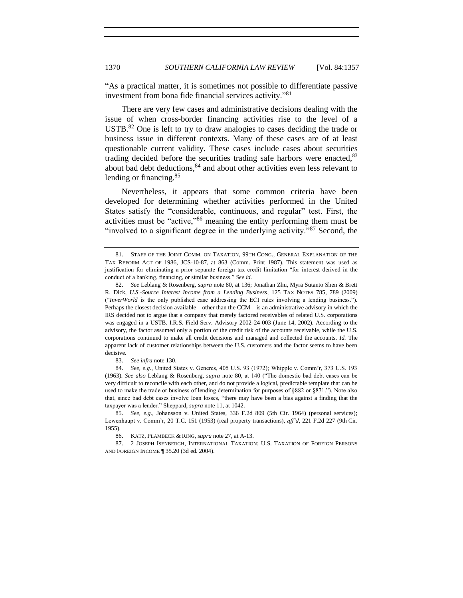―As a practical matter, it is sometimes not possible to differentiate passive investment from bona fide financial services activity."81

<span id="page-13-0"></span>There are very few cases and administrative decisions dealing with the issue of when cross-border financing activities rise to the level of a USTB.<sup>82</sup> One is left to try to draw analogies to cases deciding the trade or business issue in different contexts. Many of these cases are of at least questionable current validity. These cases include cases about securities trading decided before the securities trading safe harbors were enacted, $83$ about bad debt deductions, $84$  and about other activities even less relevant to lending or financing.<sup>85</sup>

Nevertheless, it appears that some common criteria have been developed for determining whether activities performed in the United States satisfy the "considerable, continuous, and regular" test. First, the activities must be "active, $\frac{86}{6}$  meaning the entity performing them must be "involved to a significant degree in the underlying activity."<sup>87</sup> Second, the

83. *See infra* not[e 130.](#page-19-0)

84. *See, e.g.*, United States v. Generes, 405 U.S. 93 (1972); Whipple v. Comm'r, 373 U.S. 193 (1963). See also Leblang & Rosenberg, *supra* note [80,](#page-12-2) at 140 ("The domestic bad debt cases can be very difficult to reconcile with each other, and do not provide a logical, predictable template that can be used to make the trade or business of lending determination for purposes of §882 or §871."). Note also that, since bad debt cases involve loan losses, "there may have been a bias against a finding that the taxpayer was a lender." Sheppard, *supra* not[e 11,](#page-2-5) at 1042.

85. *See, e.g.*, Johansson v. United States, 336 F.2d 809 (5th Cir. 1964) (personal services); Lewenhaupt v. Comm'r, 20 T.C. 151 (1953) (real property transactions), *aff'd*, 221 F.2d 227 (9th Cir. 1955).

86. KATZ, PLAMBECK & RING, *supra* not[e 27,](#page-4-0) at A-13.

87. 2 JOSEPH ISENBERGH, INTERNATIONAL TAXATION: U.S. TAXATION OF FOREIGN PERSONS AND FOREIGN INCOME ¶ 35.20 (3d ed. 2004).

<sup>81.</sup> STAFF OF THE JOINT COMM. ON TAXATION, 99TH CONG., GENERAL EXPLANATION OF THE TAX REFORM ACT OF 1986, JCS-10-87, at 863 (Comm. Print 1987). This statement was used as justification for eliminating a prior separate foreign tax credit limitation "for interest derived in the conduct of a banking, financing, or similar business." See id.

<sup>82.</sup> *See* Leblang & Rosenberg, *supra* note 80, at 136; Jonathan Zhu, Myra Sutanto Shen & Brett R. Dick, *U.S.-Source Interest Income from a Lending Business*, 125 TAX NOTES 785, 789 (2009) ("InverWorld is the only published case addressing the ECI rules involving a lending business."). Perhaps the closest decision available—other than the CCM—is an administrative advisory in which the IRS decided not to argue that a company that merely factored receivables of related U.S. corporations was engaged in a USTB. I.R.S. Field Serv. Advisory 2002-24-003 (June 14, 2002). According to the advisory, the factor assumed only a portion of the credit risk of the accounts receivable, while the U.S. corporations continued to make all credit decisions and managed and collected the accounts. *Id.* The apparent lack of customer relationships between the U.S. customers and the factor seems to have been decisive.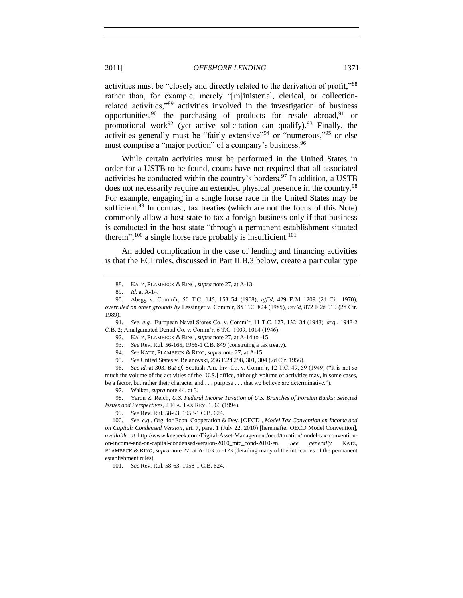activities must be "closely and directly related to the derivation of profit,"88 rather than, for example, merely "[m]inisterial, clerical, or collectionrelated activities," $89$  activities involved in the investigation of business opportunities,<sup>90</sup> the purchasing of products for resale abroad,<sup>91</sup> or promotional work<sup>92</sup> (yet active solicitation can qualify).<sup>93</sup> Finally, the activities generally must be "fairly extensive"<sup>94</sup> or "numerous,"<sup>95</sup> or else must comprise a "major portion" of a company's business.<sup>96</sup>

<span id="page-14-1"></span>While certain activities must be performed in the United States in order for a USTB to be found, courts have not required that all associated activities be conducted within the country's borders.<sup>97</sup> In addition, a USTB does not necessarily require an extended physical presence in the country.<sup>98</sup> For example, engaging in a single horse race in the United States may be sufficient.<sup>99</sup> In contrast, tax treaties (which are not the focus of this Note) commonly allow a host state to tax a foreign business only if that business is conducted in the host state "through a permanent establishment situated therein";<sup>100</sup> a single horse race probably is insufficient.<sup>101</sup>

<span id="page-14-0"></span>An added complication in the case of lending and financing activities is that the ECI rules, discussed in Part II.B.3 below, create a particular type

92. KATZ, PLAMBECK & RING, *supra* not[e 27,](#page-4-0) at A-14 to -15.

96. *See id.* at 303. *But cf.* Scottish Am. Inv. Co. v. Comm'r, 12 T.C. 49, 59 (1949) ("It is not so much the volume of the activities of the [U.S.] office, although volume of activities may, in some cases, be a factor, but rather their character and . . . purpose . . . that we believe are determinative.").

99. *See* Rev. Rul. 58-63, 1958-1 C.B. 624.

101. *See* Rev. Rul. 58-63, 1958-1 C.B. 624.

<sup>88.</sup> KATZ, PLAMBECK & RING, *supra* not[e 27,](#page-4-0) at A-13.

<sup>89.</sup> *Id.* at A-14.

<sup>90.</sup> Abegg v. Comm'r, 50 T.C. 145, 153–54 (1968), *aff'd*, 429 F.2d 1209 (2d Cir. 1970), *overruled on other grounds by* Lessinger v. Comm'r, 85 T.C. 824 (1985), *rev'd*, 872 F.2d 519 (2d Cir. 1989).

<sup>91.</sup> *See, e.g.*, European Naval Stores Co. v. Comm'r, 11 T.C. 127, 132–34 (1948), *acq.*, 1948-2 C.B. 2; Amalgamated Dental Co. v. Comm'r, 6 T.C. 1009, 1014 (1946).

<sup>93.</sup> *See* Rev. Rul. 56-165, 1956-1 C.B. 849 (construing a tax treaty).

<sup>94.</sup> *See* KATZ, PLAMBECK & RING, *supra* not[e 27,](#page-4-0) at A-15.

<sup>95.</sup> *See* United States v. Belanovski, 236 F.2d 298, 301, 304 (2d Cir. 1956).

<sup>97.</sup> Walker, *supra* not[e 44,](#page-8-0) at 3.

<sup>98.</sup> Yaron Z. Reich, *U.S. Federal Income Taxation of U.S. Branches of Foreign Banks: Selected Issues and Perspectives*, 2 FLA. TAX REV. 1, 66 (1994).

<sup>100.</sup> *See, e.g.*, Org. for Econ. Cooperation & Dev. [OECD], *Model Tax Convention on Income and on Capital: Condensed Version*, art. 7, para. 1 (July 22, 2010) [hereinafter OECD Model Convention], *available at* http://www.keepeek.com/Digital-Asset-Management/oecd/taxation/model-tax-conventionon-income-and-on-capital-condensed-version-2010\_mtc\_cond-2010-en. *See generally* KATZ, PLAMBECK & RING, *supra* not[e 27,](#page-4-0) at A-103 to -123 (detailing many of the intricacies of the permanent establishment rules).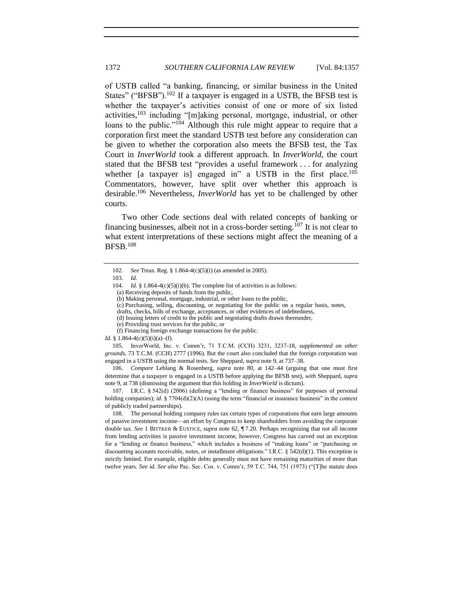<span id="page-15-1"></span><span id="page-15-0"></span>of USTB called "a banking, financing, or similar business in the United States" ("BFSB").<sup>102</sup> If a taxpayer is engaged in a USTB, the BFSB test is whether the taxpayer's activities consist of one or more of six listed activities, $103$  including "[m]aking personal, mortgage, industrial, or other loans to the public."<sup>104</sup> Although this rule might appear to require that a corporation first meet the standard USTB test before any consideration can be given to whether the corporation also meets the BFSB test, the Tax Court in *InverWorld* took a different approach. In *InverWorld*, the court stated that the BFSB test "provides a useful framework . . . for analyzing whether [a taxpayer is] engaged in" a USTB in the first place.<sup>105</sup> Commentators, however, have split over whether this approach is desirable.<sup>106</sup> Nevertheless, *InverWorld* has yet to be challenged by other courts.

Two other Code sections deal with related concepts of banking or financing businesses, albeit not in a cross-border setting.<sup>107</sup> It is not clear to what extent interpretations of these sections might affect the meaning of a BFSB.<sup>108</sup>

(a) Receiving deposits of funds from the public,

- (c) Purchasing, selling, discounting, or negotiating for the public on a regular basis, notes,
- drafts, checks, bills of exchange, acceptances, or other evidences of indebtedness,
- (d) Issuing letters of credit to the public and negotiating drafts drawn thereunder,
- (e) Providing trust services for the public, or (f) Financing foreign exchange transactions for the public.
- 

*Id.* § 1.864-4(c)(5)(i)(a)–(f).

105. InverWorld, Inc. v. Comm'r, 71 T.C.M. (CCH) 3231, 3237-18, *supplemented on other grounds*, 73 T.C.M. (CCH) 2777 (1996). But the court also concluded that the foreign corporation was engaged in a USTB using the normal tests. *See* Sheppard, *supra* not[e 9,](#page-2-4) at 737–38.

106. *Compare* Leblang & Rosenberg, *supra* note [80,](#page-12-2) at 142–44 (arguing that one must first determine that a taxpayer is engaged in a USTB before applying the BFSB test), *with* Sheppard, *supra* note [9,](#page-2-4) at 738 (dismissing the argument that this holding in *InverWorld* is dictum).

107. I.R.C. § 542(d) (2006) (defining a "lending or finance business" for purposes of personal holding companies); *id.* § 7704(d)(2)(A) (using the term "financial or insurance business" in the context of publicly traded partnerships).

108. The personal holding company rules tax certain types of corporations that earn large amounts of passive investment income—an effort by Congress to keep shareholders from avoiding the corporate double tax. *See* 1 BITTKER & EUSTICE, *supra* note [62,](#page-10-2) ¶ 7.20. Perhaps recognizing that not all income from lending activities is passive investment income, however, Congress has carved out an exception for a "lending or finance business," which includes a business of "making loans" or "purchasing or discounting accounts receivable, notes, or installment obligations." I.R.C. § 542(d)(1). This exception is strictly limited. For example, eligible debts generally must not have remaining maturities of more than twelve years. *See id. See also* Pac. Sec. Cos. v. Comm'r, 59 T.C. 744, 751 (1973) ("The statute does

<sup>102.</sup> *See* Treas. Reg. § 1.864-4(c)(5)(i) (as amended in 2005).

<sup>103.</sup> *Id.*

<sup>104.</sup> *Id.* § 1.864-4(c)(5)(i)(b). The complete list of activities is as follows:

<sup>(</sup>b) Making personal, mortgage, industrial, or other loans to the public,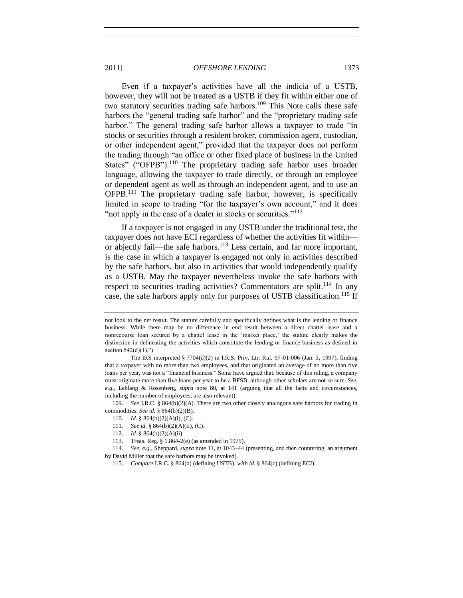Even if a taxpayer's activities have all the indicia of a USTB, however, they will not be treated as a USTB if they fit within either one of two statutory securities trading safe harbors.<sup>109</sup> This Note calls these safe harbors the "general trading safe harbor" and the "proprietary trading safe harbor." The general trading safe harbor allows a taxpayer to trade "in stocks or securities through a resident broker, commission agent, custodian, or other independent agent," provided that the taxpayer does not perform the trading through "an office or other fixed place of business in the United States" ("OFPB").<sup>110</sup> The proprietary trading safe harbor uses broader language, allowing the taxpayer to trade directly, or through an employee or dependent agent as well as through an independent agent, and to use an OFPB.<sup>111</sup> The proprietary trading safe harbor, however, is specifically limited in scope to trading "for the taxpayer's own account," and it does "not apply in the case of a dealer in stocks or securities."<sup>112</sup>

<span id="page-16-0"></span>If a taxpayer is not engaged in any USTB under the traditional test, the taxpayer does not have ECI regardless of whether the activities fit within or abjectly fail—the safe harbors.<sup>113</sup> Less certain, and far more important, is the case in which a taxpayer is engaged not only in activities described by the safe harbors, but also in activities that would independently qualify as a USTB. May the taxpayer nevertheless invoke the safe harbors with respect to securities trading activities? Commentators are split.<sup>114</sup> In any case, the safe harbors apply only for purposes of USTB classification.<sup>115</sup> If

109. *See* I.R.C. § 864(b)(2)(A). There are two other closely analogous safe harbors for trading in commodities. *See id.* § 864(b)(2)(B).

- 111. *See id.* § 864(b)(2)(A)(ii), (C).
- 112. *Id.* § 864(b)(2)(A)(ii).
- 113. Treas. Reg. § 1.864-2(e) (as amended in 1975).

114. *See, e.g.*, Sheppard, *supra* not[e 11,](#page-2-5) at 1043–44 (presenting, and then countering, an argument by David Miller that the safe harbors may be invoked).

115. *Compare* I.R.C. § 864(b) (defining USTB), *with id.* § 864(c) (defining ECI).

not look to the net result. The statute carefully and specifically defines what is the lending or finance business. While there may be no difference in end result between a direct chattel lease and a nonrecourse loan secured by a chattel lease in the 'market place,' the statute clearly makes the distinction in delineating the activities which constitute the lending or finance business as defined in section  $542(d)(1)$ .").

The IRS interpreted § 7704(d)(2) in I.R.S. Priv. Ltr. Rul. 97-01-006 (Jan. 3, 1997), finding that a taxpayer with no more than two employees, and that originated an average of no more than five loans per year, was not a "financial business." Some have argued that, because of this ruling, a company must originate more than five loans per year to be a BFSB, although other scholars are not so sure. *See, e.g.*, Leblang & Rosenberg, *supra* note [80,](#page-12-2) at 141 (arguing that all the facts and circumstances, including the number of employees, are also relevant).

<sup>110.</sup> *Id.* § 864(b)(2)(A)(i), (C).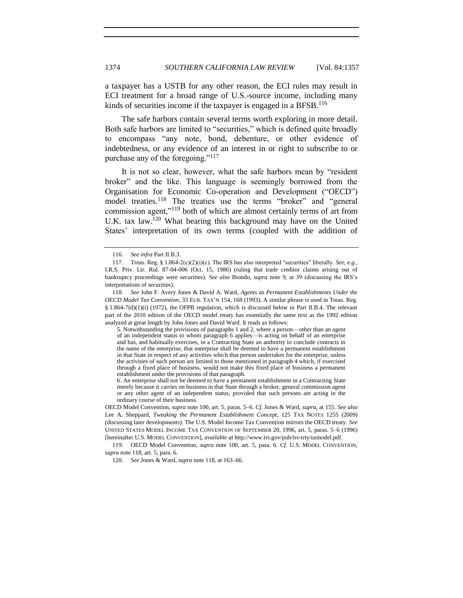a taxpayer has a USTB for any other reason, the ECI rules may result in ECI treatment for a broad range of U.S.-source income, including many kinds of securities income if the taxpayer is engaged in a BFSB.<sup>116</sup>

The safe harbors contain several terms worth exploring in more detail. Both safe harbors are limited to "securities," which is defined quite broadly to encompass "any note, bond, debenture, or other evidence of indebtedness, or any evidence of an interest in or right to subscribe to or purchase any of the foregoing." $117$ 

<span id="page-17-0"></span>It is not so clear, however, what the safe harbors mean by "resident broker" and the like. This language is seemingly borrowed from the Organisation for Economic Co-operation and Development ("OECD") model treaties.<sup>118</sup> The treaties use the terms "broker" and "general commission agent,"<sup>119</sup> both of which are almost certainly terms of art from U.K. tax law.<sup>120</sup> What bearing this background may have on the United States' interpretation of its own terms (coupled with the addition of

5. Notwithstanding the provisions of paragraphs 1 and 2, where a person—other than an agent of an independent status to whom paragraph 6 applies—is acting on behalf of an enterprise and has, and habitually exercises, in a Contracting State an authority to conclude contracts in the name of the enterprise, that enterprise shall be deemed to have a permanent establishment in that State in respect of any activities which that person undertakes for the enterprise, unless the activities of such person are limited to those mentioned in paragraph 4 which, if exercised through a fixed place of business, would not make this fixed place of business a permanent establishment under the provisions of that paragraph.

6. An enterprise shall not be deemed to have a permanent establishment in a Contracting State merely because it carries on business in that State through a broker, general commission agent or any other agent of an independent status, provided that such persons are acting in the ordinary course of their business.

119. OECD Model Convention, *supra* note [100,](#page-14-0) art. 5, para. 6. *Cf.* U.S. MODEL CONVENTION, *supra* not[e 118,](#page-17-0) art. 5, para. 6.

<sup>116.</sup> *See infra* Part II.B.3.

<sup>117.</sup> Treas. Reg. § 1.864-2(c)(2)(i)(c). The IRS has also interpreted "securities" liberally. *See, e.g.*, I.R.S. Priv. Ltr. Rul. 87-04-006 (Oct. 15, 1986) (ruling that trade creditor claims arising out of bankruptcy proceedings were securities). *See also* Biondo, *supra* note [9,](#page-2-4) at 39 (discussing the IRS's interpretations of securities).

<sup>118.</sup> *See* John F. Avery Jones & David A. Ward, *Agents as Permanent Establishments Under the OECD Model Tax Convention*, 33 EUR. TAX'N 154, 168 (1993). A similar phrase is used in Treas. Reg. § 1.864-7(d)(1)(i) (1972), the OFPB regulation, which is discussed below in Part II.B.4. The relevant part of the 2010 edition of the OECD model treaty has essentially the same text as the 1992 edition analyzed at great length by John Jones and David Ward. It reads as follows:

OECD Model Convention, *supra* note [100,](#page-14-0) art. 5, paras. 5–6. *Cf.* Jones & Ward, *supra*, at 155. *See also* Lee A. Sheppard, *Tweaking the Permanent Establishment Concept*, 125 TAX NOTES 1255 (2009) (discussing later developments). The U.S. Model Income Tax Convention mirrors the OECD treaty. *See* UNITED STATES MODEL INCOME TAX CONVENTION OF SEPTEMBER 20, 1996, art. 5, paras. 5–6 (1996) [hereinafter U.S. MODEL CONVENTION], *available at* http://www.irs.gov/pub/irs-trty/usmodel.pdf.

<sup>120.</sup> *See* Jones & Ward, *supra* not[e 118,](#page-17-0) at 163–66.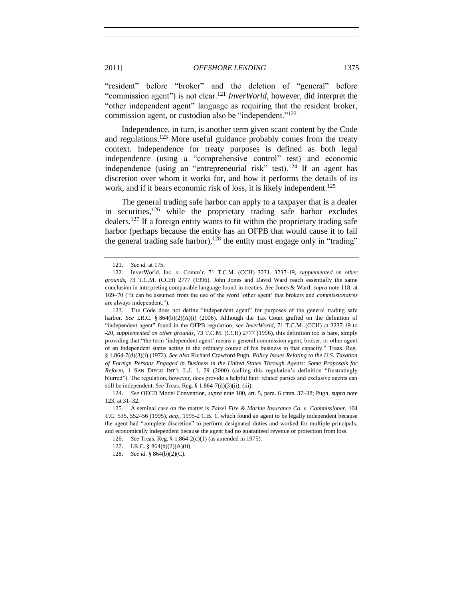"resident" before "broker" and the deletion of "general" before "commission agent") is not clear.<sup>121</sup> *InverWorld*, however, did interpret the "other independent agent" language as requiring that the resident broker, commission agent, or custodian also be "independent." $^{122}$ 

<span id="page-18-0"></span>Independence, in turn, is another term given scant content by the Code and regulations.<sup>123</sup> More useful guidance probably comes from the treaty context. Independence for treaty purposes is defined as both legal independence (using a "comprehensive control" test) and economic independence (using an "entrepreneurial risk" test).<sup>124</sup> If an agent has discretion over whom it works for, and how it performs the details of its work, and if it bears economic risk of loss, it is likely independent.<sup>125</sup>

<span id="page-18-2"></span><span id="page-18-1"></span>The general trading safe harbor can apply to a taxpayer that is a dealer in securities,  $126$  while the proprietary trading safe harbor excludes dealers.<sup>127</sup> If a foreign entity wants to fit within the proprietary trading safe harbor (perhaps because the entity has an OFPB that would cause it to fail the general trading safe harbor),<sup>128</sup> the entity must engage only in "trading"

<sup>121.</sup> *See id.* at 175.

<sup>122.</sup> InverWorld, Inc. v. Comm'r, 71 T.C.M. (CCH) 3231, 3237-19, *supplemented on other grounds*, 73 T.C.M. (CCH) 2777 (1996). John Jones and David Ward reach essentially the same conclusion in interpreting comparable language found in treaties. *See* Jones & Ward, *supra* not[e 118,](#page-17-0) at 169–70 ("It can be assumed from the use of the word 'other agent' that brokers and *commissionaires* are always independent.").

<sup>123.</sup> The Code does not define "independent agent" for purposes of the general trading safe harbor. *See* I.R.C. § 864(b)(2)(A)(i) (2006). Although the Tax Court grafted on the definition of ―independent agent‖ found in the OFPB regulation, s*ee InverWorld*, 71 T.C.M. (CCH) at 3237-19 to -20, *supplemented on other grounds*, 73 T.C.M. (CCH) 2777 (1996), this definition too is bare, simply providing that "the term 'independent agent' means a general commission agent, broker, or other agent of an independent status acting in the ordinary course of his business in that capacity." Treas. Reg. § 1.864-7(d)(3)(i) (1972). *See also* Richard Crawford Pugh, *Policy Issues Relating to the U.S. Taxation of Foreign Persons Engaged in Business in the United States Through Agents: Some Proposals for Reform*, 1 SAN DIEGO INT'L L.J. 1, 29 (2000) (calling this regulation's definition "frustratingly blurred"). The regulation, however, does provide a helpful hint: related parties and exclusive agents can still be independent. *See* Treas. Reg. § 1.864-7(d)(3)(ii), (iii).

<sup>124.</sup> *See* OECD Model Convention, *supra* note [100,](#page-14-0) art. 5, para. 6 cmts. 37–38; Pugh, *supra* note [123,](#page-18-0) at 31–32.

<sup>125.</sup> A seminal case on the matter is *Taisei Fire & Marine Insurance Co. v. Commissioner*, 104 T.C. 535, 552–56 (1995), *acq.*, 1995-2 C.B. 1, which found an agent to be legally independent because the agent had "complete discretion" to perform designated duties and worked for multiple principals, and economically independent because the agent had no guaranteed revenue or protection from loss.

<sup>126.</sup> *See* Treas. Reg. § 1.864-2(c)(1) (as amended in 1975).

<sup>127.</sup> I.R.C. § 864(b)(2)(A)(ii).

<sup>128.</sup> *See id.* § 864(b)(2)(C).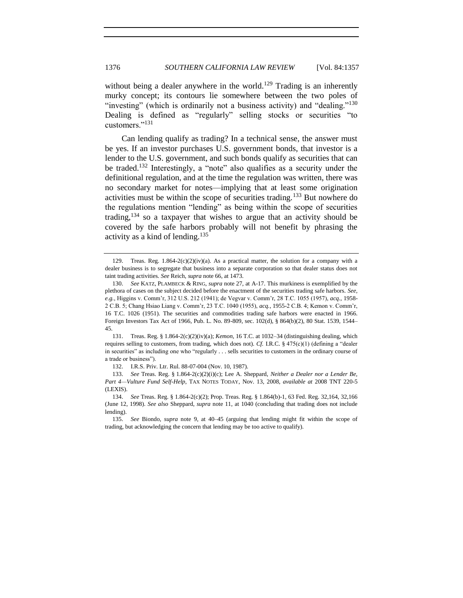<span id="page-19-0"></span>without being a dealer anywhere in the world.<sup>129</sup> Trading is an inherently murky concept; its contours lie somewhere between the two poles of "investing" (which is ordinarily not a business activity) and "dealing."<sup>130</sup> Dealing is defined as "regularly" selling stocks or securities "to customers."<sup>131</sup>

<span id="page-19-1"></span>Can lending qualify as trading? In a technical sense, the answer must be yes. If an investor purchases U.S. government bonds, that investor is a lender to the U.S. government, and such bonds qualify as securities that can be traded.<sup>132</sup> Interestingly, a "note" also qualifies as a security under the definitional regulation, and at the time the regulation was written, there was no secondary market for notes—implying that at least some origination activities must be within the scope of securities trading.<sup>133</sup> But nowhere do the regulations mention "lending" as being within the scope of securities trading,  $134$  so a taxpayer that wishes to argue that an activity should be covered by the safe harbors probably will not benefit by phrasing the activity as a kind of lending.<sup>135</sup>

131. Treas. Reg. § 1.864-2(c)(2)(iv)(a); *Kemon*, 16 T.C. at 1032–34 (distinguishing dealing, which requires selling to customers, from trading, which does not). *Cf.* I.R.C.  $\S$  475(c)(1) (defining a "dealer in securities" as including one who "regularly . . . sells securities to customers in the ordinary course of a trade or business").

132. I.R.S. Priv. Ltr. Rul. 88-07-004 (Nov. 10, 1987).

133. *See* Treas. Reg. § 1.864-2(c)(2)(i)(c); Lee A. Sheppard, *Neither a Dealer nor a Lender Be, Part 4—Vulture Fund Self-Help*, TAX NOTES TODAY, Nov. 13, 2008, *available at* 2008 TNT 220-5 (LEXIS).

<span id="page-19-2"></span><sup>129.</sup> Treas. Reg.  $1.864-2(c)(2)(iv)(a)$ . As a practical matter, the solution for a company with a dealer business is to segregate that business into a separate corporation so that dealer status does not taint trading activities. *See* Reich, *supra* not[e 66,](#page-10-0) at 1473.

<sup>130.</sup> *See* KATZ, PLAMBECK & RING, *supra* not[e 27,](#page-4-0) at A-17. This murkiness is exemplified by the plethora of cases on the subject decided before the enactment of the securities trading safe harbors. *See, e.g.*, Higgins v. Comm'r, 312 U.S. 212 (1941); de Vegvar v. Comm'r, 28 T.C. 1055 (1957), *acq.*, 1958- 2 C.B. 5; Chang Hsiao Liang v. Comm'r, 23 T.C. 1040 (1955), *acq.*, 1955-2 C.B. 4; Kemon v. Comm'r, 16 T.C. 1026 (1951). The securities and commodities trading safe harbors were enacted in 1966. Foreign Investors Tax Act of 1966, Pub. L. No. 89-809, sec. 102(d), § 864(b)(2), 80 Stat. 1539, 1544– 45.

<sup>134.</sup> *See* Treas. Reg. § 1.864-2(c)(2); Prop. Treas. Reg. § 1.864(b)-1, 63 Fed. Reg. 32,164, 32,166 (June 12, 1998). *See also* Sheppard, *supra* note [11,](#page-2-5) at 1040 (concluding that trading does not include lending).

<sup>135.</sup> *See* Biondo, *supra* note [9,](#page-2-4) at 40–45 (arguing that lending might fit within the scope of trading, but acknowledging the concern that lending may be too active to qualify).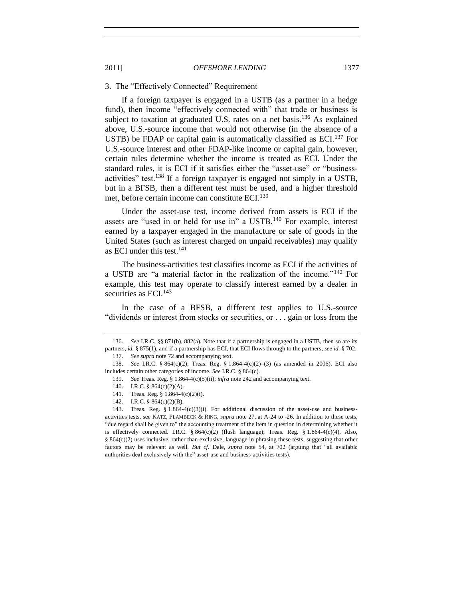# <span id="page-20-0"></span>3. The "Effectively Connected" Requirement

If a foreign taxpayer is engaged in a USTB (as a partner in a hedge fund), then income "effectively connected with" that trade or business is subject to taxation at graduated U.S. rates on a net basis.<sup>136</sup> As explained above, U.S.-source income that would not otherwise (in the absence of a USTB) be FDAP or capital gain is automatically classified as  $ECI<sup>137</sup>$  For U.S.-source interest and other FDAP-like income or capital gain, however, certain rules determine whether the income is treated as ECI. Under the standard rules, it is ECI if it satisfies either the "asset-use" or "businessactivities" test.<sup>138</sup> If a foreign taxpayer is engaged not simply in a USTB, but in a BFSB, then a different test must be used, and a higher threshold met, before certain income can constitute ECI.<sup>139</sup>

Under the asset-use test, income derived from assets is ECI if the assets are "used in or held for use in" a  $\text{USTB}.^{140}$  For example, interest earned by a taxpayer engaged in the manufacture or sale of goods in the United States (such as interest charged on unpaid receivables) may qualify as ECI under this test.<sup>141</sup>

The business-activities test classifies income as ECI if the activities of a USTB are "a material factor in the realization of the income."<sup>142</sup> For example, this test may operate to classify interest earned by a dealer in securities as ECI.<sup>143</sup>

In the case of a BFSB, a different test applies to U.S.-source "dividends or interest from stocks or securities, or . . . gain or loss from the

<sup>136.</sup> *See* I.R.C. §§ 871(b), 882(a). Note that if a partnership is engaged in a USTB, then so are its partners, *id.* § 875(1), and if a partnership has ECI, that ECI flows through to the partners, *see id.* § 702. 137. *See supra* not[e 72](#page-11-2) and accompanying text.

<sup>138.</sup> *See* I.R.C. § 864(c)(2); Treas. Reg. § 1.864-4(c)(2)–(3) (as amended in 2006). ECI also includes certain other categories of income. *See* I.R.C. § 864(c).

<sup>139.</sup> *See* Treas. Reg. § 1.864-4(c)(5)(ii); *infra* not[e 242](#page-34-0) and accompanying text.

<sup>140.</sup> I.R.C. § 864(c)(2)(A).

<sup>141.</sup> Treas. Reg. § 1.864-4(c)(2)(i).

<sup>142.</sup> I.R.C. § 864(c)(2)(B).

<sup>143.</sup> Treas. Reg. § 1.864-4 $(c)(3)(i)$ . For additional discussion of the asset-use and businessactivities tests, see KATZ, PLAMBECK & RING, *supra* not[e 27,](#page-4-0) at A-24 to -26. In addition to these tests, "due regard shall be given to" the accounting treatment of the item in question in determining whether it is effectively connected. I.R.C. § 864(c)(2) (flush language); Treas. Reg. § 1.864-4(c)(4). Also, § 864(c)(2) uses inclusive, rather than exclusive, language in phrasing these tests, suggesting that other factors may be relevant as well. *But cf.* Dale, *supra* note [54,](#page-9-2) at 702 (arguing that "all available" authorities deal exclusively with the" asset-use and business-activities tests).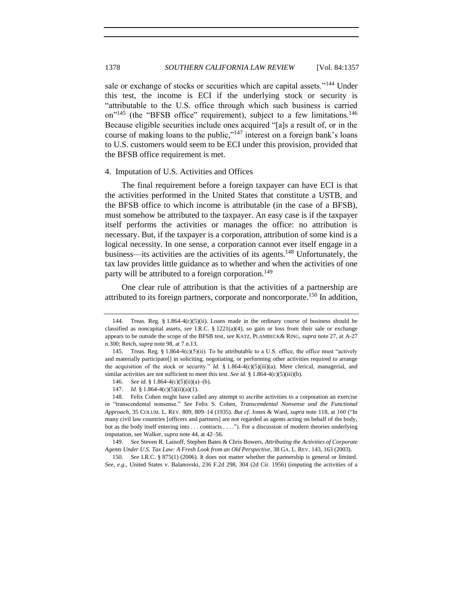<span id="page-21-5"></span><span id="page-21-4"></span><span id="page-21-2"></span>sale or exchange of stocks or securities which are capital assets."<sup>144</sup> Under this test, the income is ECI if the underlying stock or security is "attributable to the U.S. office through which such business is carried on<sup>"145</sup> (the "BFSB office" requirement), subject to a few limitations.<sup>146</sup> Because eligible securities include ones acquired "[a]s a result of, or in the course of making loans to the public,"<sup>147</sup> interest on a foreign bank's loans to U.S. customers would seem to be ECI under this provision, provided that the BFSB office requirement is met.

#### <span id="page-21-3"></span><span id="page-21-0"></span>4. Imputation of U.S. Activities and Offices

The final requirement before a foreign taxpayer can have ECI is that the activities performed in the United States that constitute a USTB, and the BFSB office to which income is attributable (in the case of a BFSB), must somehow be attributed to the taxpayer. An easy case is if the taxpayer itself performs the activities or manages the office: no attribution is necessary. But, if the taxpayer is a corporation, attribution of some kind is a logical necessity. In one sense, a corporation cannot ever itself engage in a business—its activities are the activities of its agents.<sup>148</sup> Unfortunately, the tax law provides little guidance as to whether and when the activities of one party will be attributed to a foreign corporation.<sup>149</sup>

<span id="page-21-6"></span><span id="page-21-1"></span>One clear rule of attribution is that the activities of a partnership are attributed to its foreign partners, corporate and noncorporate. <sup>150</sup> In addition,

<sup>144.</sup> Treas. Reg.  $\S 1.864-4(c)(5)(ii)$ . Loans made in the ordinary course of business should be classified as noncapital assets, *see* I.R.C. § 1221(a)(4), so gain or loss from their sale or exchange appears to be outside the scope of the BFSB test, *see* KATZ, PLAMBECK& RING, *supra* not[e 27,](#page-4-0) at A-27 n.300; Reich, *supra* not[e 98,](#page-14-1) at 7 n.13.

<sup>145.</sup> Treas. Reg. § 1.864-4(c)(5)(ii). To be attributable to a U.S. office, the office must "actively and materially participate[] in soliciting, negotiating, or performing other activities required to arrange the acquisition of the stock or security." *Id.* § 1.864-4(c)(5)(iii)(a). Mere clerical, managerial, and similar activities are not sufficient to meet this test. *See id.* § 1.864-4(c)(5)(iii)(b).

<sup>146.</sup> *See id.* § 1.864-4(c)(5)(ii)(a)–(b).

<sup>147.</sup> *Id.* § 1.864-4(c)(5)(ii)(a)(1).

<sup>148.</sup> Felix Cohen might have called any attempt to ascribe activities to a corporation an exercise in "transcendental nonsense." See Felix S. Cohen, *Transcendental Nonsense and the Functional Approach*, 35 COLUM. L. REV. 809, 809–14 (1935). *But cf.* Jones & Ward, *supra* note [118,](#page-17-0) at 160 (―In many civil law countries [officers and partners] are not regarded as agents acting on behalf of the body, but as the body itself entering into . . . contracts . . . ."). For a discussion of modern theories underlying imputation, see Walker, *supra* not[e 44,](#page-8-1) at 42–56.

<sup>149.</sup> *See* Steven R. Lainoff, Stephen Bates & Chris Bowers, *Attributing the Activities of Corporate Agents Under U.S. Tax Law: A Fresh Look from an Old Perspective*, 38 GA. L. REV. 143, 163 (2003).

<sup>150.</sup> *See* I.R.C. § 875(1) (2006). It does not matter whether the partnership is general or limited. *See, e.g.*, United States v. Balanovski, 236 F.2d 298, 304 (2d Cir. 1956) (imputing the activities of a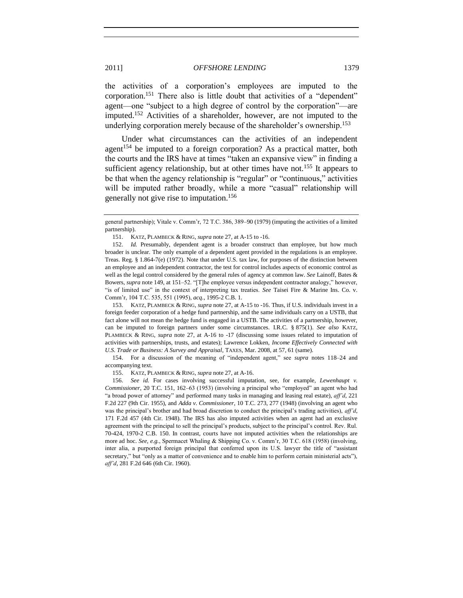the activities of a corporation's employees are imputed to the corporation.<sup>151</sup> There also is little doubt that activities of a "dependent" agent—one "subject to a high degree of control by the corporation"—are imputed.<sup>152</sup> Activities of a shareholder, however, are not imputed to the underlying corporation merely because of the shareholder's ownership.<sup>153</sup>

Under what circumstances can the activities of an independent agent<sup>154</sup> be imputed to a foreign corporation? As a practical matter, both the courts and the IRS have at times "taken an expansive view" in finding a sufficient agency relationship, but at other times have not.<sup>155</sup> It appears to be that when the agency relationship is "regular" or "continuous," activities will be imputed rather broadly, while a more "casual" relationship will generally not give rise to imputation.<sup>156</sup>

153. KATZ, PLAMBECK & RING, *supra* note [27,](#page-4-0) at A-15 to -16. Thus, if U.S. individuals invest in a foreign feeder corporation of a hedge fund partnership, and the same individuals carry on a USTB, that fact alone will not mean the hedge fund is engaged in a USTB. The activities of a partnership, however, can be imputed to foreign partners under some circumstances. I.R.C. § 875(1). *See also* KATZ, PLAMBECK & RING, *supra* note [27,](#page-4-0) at A-16 to -17 (discussing some issues related to imputation of activities with partnerships, trusts, and estates); Lawrence Lokken, *Income Effectively Connected with U.S. Trade or Business: A Survey and Appraisal*, TAXES, Mar. 2008, at 57, 61 (same).

154. For a discussion of the meaning of "independent agent," see *supra* notes [118](#page-17-0)[–24](#page-18-1) and accompanying text.

155. KATZ, PLAMBECK & RING, *supra* not[e 27,](#page-4-0) at A-16.

156. *See id.* For cases involving successful imputation, see, for example, *Lewenhaupt v. Commissioner*, 20 T.C. 151, 162–63 (1953) (involving a principal who "employed" an agent who had ―a broad power of attorney‖ and performed many tasks in managing and leasing real estate), *aff'd*, 221 F.2d 227 (9th Cir. 1955), and *Adda v. Commissioner*, 10 T.C. 273, 277 (1948) (involving an agent who was the principal's brother and had broad discretion to conduct the principal's trading activities), *aff'd*, 171 F.2d 457 (4th Cir. 1948). The IRS has also imputed activities when an agent had an exclusive agreement with the principal to sell the principal's products, subject to the principal's control. Rev. Rul. 70-424, 1970-2 C.B. 150. In contrast, courts have not imputed activities when the relationships are more ad hoc. *See, e.g.*, Spermacet Whaling & Shipping Co. v. Comm'r, 30 T.C. 618 (1958) (involving, inter alia, a purported foreign principal that conferred upon its U.S. lawyer the title of "assistant secretary," but "only as a matter of convenience and to enable him to perform certain ministerial acts"), *aff'd*, 281 F.2d 646 (6th Cir. 1960).

general partnership); Vitale v. Comm'r, 72 T.C. 386, 389–90 (1979) (imputing the activities of a limited partnership).

<sup>151.</sup> KATZ, PLAMBECK & RING, *supra* not[e 27,](#page-4-0) at A-15 to -16.

<sup>152.</sup> *Id.* Presumably, dependent agent is a broader construct than employee, but how much broader is unclear. The only example of a dependent agent provided in the regulations is an employee. Treas. Reg. § 1.864-7(e) (1972). Note that under U.S. tax law, for purposes of the distinction between an employee and an independent contractor, the test for control includes aspects of economic control as well as the legal control considered by the general rules of agency at common law. *See* Lainoff, Bates & Bowers, *supra* not[e 149,](#page-21-1) at 151–52. "[T]he employee versus independent contractor analogy," however, "is of limited use" in the context of interpreting tax treaties. *See* Taisei Fire & Marine Ins. Co. v. Comm'r, 104 T.C. 535, 551 (1995), *acq.*, 1995-2 C.B. 1.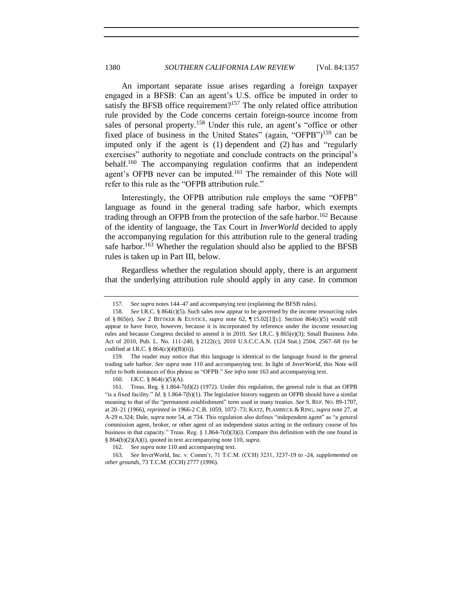<span id="page-23-1"></span>An important separate issue arises regarding a foreign taxpayer engaged in a BFSB: Can an agent's U.S. office be imputed in order to satisfy the BFSB office requirement?<sup>157</sup> The only related office attribution rule provided by the Code concerns certain foreign-source income from sales of personal property.<sup>158</sup> Under this rule, an agent's "office or other fixed place of business in the United States" (again, "OFPB")<sup>159</sup> can be imputed only if the agent is  $(1)$  dependent and  $(2)$  has and "regularly exercises" authority to negotiate and conclude contracts on the principal's behalf.<sup>160</sup> The accompanying regulation confirms that an independent agent's OFPB never can be imputed.<sup>161</sup> The remainder of this Note will refer to this rule as the "OFPB attribution rule."

<span id="page-23-2"></span>Interestingly, the OFPB attribution rule employs the same "OFPB" language as found in the general trading safe harbor, which exempts trading through an OFPB from the protection of the safe harbor.<sup>162</sup> Because of the identity of language, the Tax Court in *InverWorld* decided to apply the accompanying regulation for this attribution rule to the general trading safe harbor.<sup>163</sup> Whether the regulation should also be applied to the BFSB rules is taken up in Part III, below.

<span id="page-23-0"></span>Regardless whether the regulation should apply, there is an argument that the underlying attribution rule should apply in any case. In common

<sup>157.</sup> *See supra* note[s 144](#page-21-2)[–47](#page-21-3) and accompanying text (explaining the BFSB rules).

<sup>158.</sup> *See* I.R.C. § 864(c)(5). Such sales now appear to be governed by the income resourcing rules of § 865(e). *See* 2 BITTKER & EUSTICE, *supra* note [62,](#page-10-2) ¶ 15.02[1][c]. Section 864(c)(5) would still appear to have force, however, because it is incorporated by reference under the income resourcing rules and because Congress decided to amend it in 2010. *See* I.R.C. § 865(e)(3); Small Business Jobs Act of 2010, Pub. L. No. 111-240, § 2122(c), 2010 U.S.C.C.A.N. (124 Stat.) 2504, 2567–68 (to be codified at I.R.C.  $§ 864(c)(4)(B)(ii)$ .

<sup>159.</sup> The reader may notice that this language is identical to the language found in the general trading safe harbor. *See supra* note [110](#page-16-0) and accompanying text. In light of *InverWorld*, this Note will refer to both instances of this phrase as "OFPB." See infra not[e 163](#page-23-0) and accompanying text.

<sup>160.</sup> I.R.C. § 864(c)(5)(A).

<sup>161.</sup> Treas. Reg. § 1.864-7(d)(2) (1972). Under this regulation, the general rule is that an OFPB "is a fixed facility." *Id.* § 1.864-7(b)(1). The legislative history suggests an OFPB should have a similar meaning to that of the "permanent establishment" term used in many treaties. *See* S. REP. NO. 89-1707, at 20–21 (1966), *reprinted in* 1966-2 C.B. 1059, 1072–73; KATZ, PLAMBECK & RING, *supra* not[e 27,](#page-4-0) at A-29 n.324; Dale, *supra* not[e 54,](#page-9-2) at 734. This regulation also defines "independent agent" as "a general commission agent, broker, or other agent of an independent status acting in the ordinary course of his business in that capacity." Treas. Reg. §  $1.864-7(d)(3)(i)$ . Compare this definition with the one found in § 864(b)(2)(A)(i), quoted in text accompanying not[e 110,](#page-16-0) *supra*.

<sup>162.</sup> *See supra* not[e 110](#page-16-0) and accompanying text.

<sup>163.</sup> *See* InverWorld, Inc. v. Comm'r, 71 T.C.M. (CCH) 3231, 3237-19 to -24, *supplemented on other grounds*, 73 T.C.M. (CCH) 2777 (1996).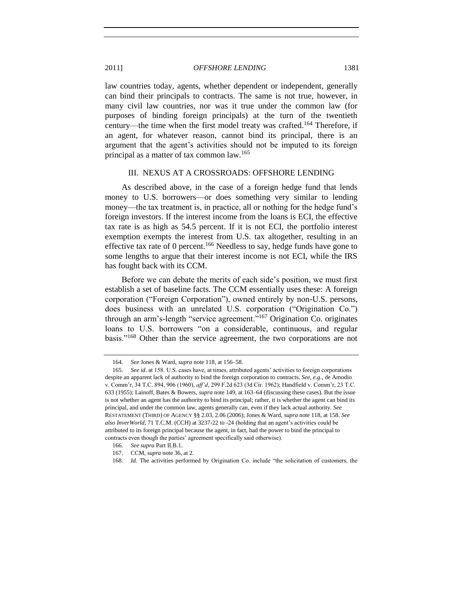law countries today, agents, whether dependent or independent, generally can bind their principals to contracts. The same is not true, however, in many civil law countries, nor was it true under the common law (for purposes of binding foreign principals) at the turn of the twentieth century—the time when the first model treaty was crafted.<sup>164</sup> Therefore, if an agent, for whatever reason, cannot bind its principal, there is an argument that the agent's activities should not be imputed to its foreign principal as a matter of tax common law.<sup>165</sup>

#### <span id="page-24-2"></span><span id="page-24-1"></span>III. NEXUS AT A CROSSROADS: OFFSHORE LENDING

<span id="page-24-0"></span>As described above, in the case of a foreign hedge fund that lends money to U.S. borrowers—or does something very similar to lending money—the tax treatment is, in practice, all or nothing for the hedge fund's foreign investors. If the interest income from the loans is ECI, the effective tax rate is as high as 54.5 percent. If it is not ECI, the portfolio interest exemption exempts the interest from U.S. tax altogether, resulting in an effective tax rate of 0 percent.<sup>166</sup> Needless to say, hedge funds have gone to some lengths to argue that their interest income is not ECI, while the IRS has fought back with its CCM.

Before we can debate the merits of each side's position, we must first establish a set of baseline facts. The CCM essentially uses these: A foreign corporation ("Foreign Corporation"), owned entirely by non-U.S. persons, does business with an unrelated U.S. corporation ("Origination Co.") through an arm's-length "service agreement."<sup>167</sup> Origination Co. originates loans to U.S. borrowers "on a considerable, continuous, and regular basis."<sup>168</sup> Other than the service agreement, the two corporations are not

<sup>164.</sup> *See* Jones & Ward, *supra* not[e 118,](#page-17-0) at 156–58.

<sup>165.</sup> *See id.* at 158. U.S. cases have, at times, attributed agents' activities to foreign corporations despite an apparent lack of authority to bind the foreign corporation to contracts. *See, e.g.*, de Amodio v. Comm'r, 34 T.C. 894, 906 (1960), *aff'd*, 299 F.2d 623 (3d Cir. 1962); Handfield v. Comm'r, 23 T.C. 633 (1955); Lainoff, Bates & Bowers, *supra* not[e 149,](#page-21-1) at 163–64 (discussing these cases). But the issue is not whether an agent has the authority to bind its principal; rather, it is whether the agent can bind its principal, and under the common law, agents generally can, even if they lack actual authority. *See* RESTATEMENT (THIRD) OF AGENCY §§ 2.03, 2.06 (2006); Jones & Ward, *supra* not[e 118,](#page-17-0) at 158. *See also InverWorld*, 71 T.C.M. (CCH) at 3237-22 to -24 (holding that an agent's activities could be attributed to its foreign principal because the agent, in fact, had the power to bind the principal to contracts even though the parties' agreement specifically said otherwise).

<sup>166.</sup> *See supra* Part II.B.1.

<sup>167.</sup> CCM, *supra* note [36,](#page-6-0) at 2.

<sup>168.</sup> *Id.* The activities performed by Origination Co. include "the solicitation of customers, the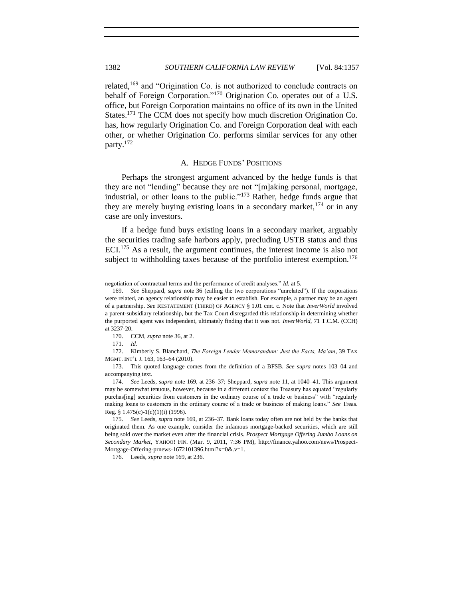<span id="page-25-1"></span>related, $169$  and "Origination Co. is not authorized to conclude contracts on behalf of Foreign Corporation."<sup>170</sup> Origination Co. operates out of a U.S. office, but Foreign Corporation maintains no office of its own in the United States.<sup>171</sup> The CCM does not specify how much discretion Origination Co. has, how regularly Origination Co. and Foreign Corporation deal with each other, or whether Origination Co. performs similar services for any other party.<sup>172</sup>

#### A. HEDGE FUNDS' POSITIONS

<span id="page-25-2"></span><span id="page-25-0"></span>Perhaps the strongest argument advanced by the hedge funds is that they are not "lending" because they are not "[m]aking personal, mortgage, industrial, or other loans to the public." $173$  Rather, hedge funds argue that they are merely buying existing loans in a secondary market,  $174$  or in any case are only investors.

If a hedge fund buys existing loans in a secondary market, arguably the securities trading safe harbors apply, precluding USTB status and thus ECI.<sup>175</sup> As a result, the argument continues, the interest income is also not subject to withholding taxes because of the portfolio interest exemption.<sup>176</sup>

173. This quoted language comes from the definition of a BFSB. *See supra* notes [103–](#page-15-0)[04](#page-15-1) and accompanying text.

negotiation of contractual terms and the performance of credit analyses." *Id.* at 5.

<sup>169.</sup> See Sheppard, *supra* note [36](#page-6-0) (calling the two corporations "unrelated"). If the corporations were related, an agency relationship may be easier to establish. For example, a partner may be an agent of a partnership. *See* RESTATEMENT (THIRD) OF AGENCY § 1.01 cmt. c. Note that *InverWorld* involved a parent-subsidiary relationship, but the Tax Court disregarded this relationship in determining whether the purported agent was independent, ultimately finding that it was not. *InverWorld*, 71 T.C.M. (CCH) at 3237-20.

<sup>170.</sup> CCM, *supra* note [36,](#page-6-0) at 2.

<sup>171.</sup> *Id.*

<sup>172.</sup> Kimberly S. Blanchard, *The Foreign Lender Memorandum: Just the Facts, Ma'am*, 39 TAX MGMT. INT'L J. 163, 163–64 (2010).

<sup>174.</sup> *See* Leeds, *supra* note [169,](#page-25-1) at 236–37; Sheppard, *supra* not[e 11,](#page-2-5) at 1040–41. This argument may be somewhat tenuous, however, because in a different context the Treasury has equated "regularly purchas[ing] securities from customers in the ordinary course of a trade or business" with "regularly making loans to customers in the ordinary course of a trade or business of making loans." See Treas. Reg. § 1.475(c)-1(c)(1)(i) (1996).

<sup>175.</sup> *See* Leeds, *supra* not[e 169,](#page-25-1) at 236–37. Bank loans today often are not held by the banks that originated them. As one example, consider the infamous mortgage-backed securities, which are still being sold over the market even after the financial crisis. *Prospect Mortgage Offering Jumbo Loans on Secondary Market*, YAHOO! FIN. (Mar. 9, 2011, 7:36 PM), http://finance.yahoo.com/news/Prospect-Mortgage-Offering-prnews-1672101396.html?x=0&.v=1.

<sup>176.</sup> Leeds, *supra* not[e 169,](#page-25-1) at 236.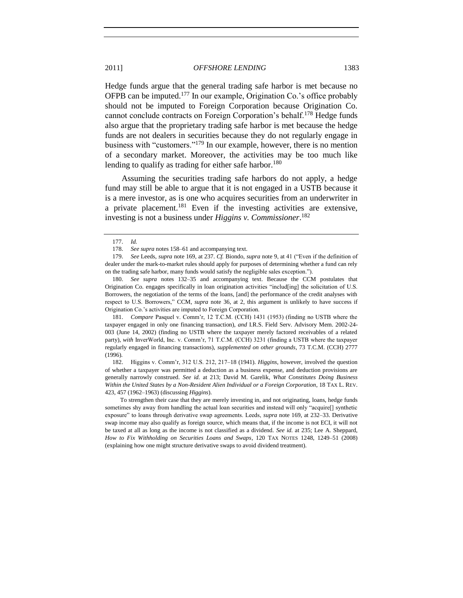Hedge funds argue that the general trading safe harbor is met because no OFPB can be imputed.<sup>177</sup> In our example, Origination Co.'s office probably should not be imputed to Foreign Corporation because Origination Co. cannot conclude contracts on Foreign Corporation's behalf.<sup>178</sup> Hedge funds also argue that the proprietary trading safe harbor is met because the hedge funds are not dealers in securities because they do not regularly engage in business with "customers."<sup>179</sup> In our example, however, there is no mention of a secondary market. Moreover, the activities may be too much like lending to qualify as trading for either safe harbor.<sup>180</sup>

Assuming the securities trading safe harbors do not apply, a hedge fund may still be able to argue that it is not engaged in a USTB because it is a mere investor, as is one who acquires securities from an underwriter in a private placement.<sup>181</sup> Even if the investing activities are extensive, investing is not a business under *Higgins v. Commissioner*. 182

181. *Compare* Pasquel v. Comm'r, 12 T.C.M. (CCH) 1431 (1953) (finding no USTB where the taxpayer engaged in only one financing transaction), *and* I.R.S. Field Serv. Advisory Mem. 2002-24- 003 (June 14, 2002) (finding no USTB where the taxpayer merely factored receivables of a related party), *with* InverWorld, Inc. v. Comm'r, 71 T.C.M. (CCH) 3231 (finding a USTB where the taxpayer regularly engaged in financing transactions), *supplemented on other grounds*, 73 T.C.M. (CCH) 2777 (1996).

182. Higgins v. Comm'r, 312 U.S. 212, 217–18 (1941). *Higgins*, however, involved the question of whether a taxpayer was permitted a deduction as a business expense, and deduction provisions are generally narrowly construed. *See id.* at 213; David M. Garelik, *What Constitutes Doing Business Within the United States by a Non-Resident Alien Individual or a Foreign Corporation*, 18 TAX L. REV. 423, 457 (1962–1963) (discussing *Higgins*).

To strengthen their case that they are merely investing in, and not originating, loans, hedge funds sometimes shy away from handling the actual loan securities and instead will only "acquire[] synthetic exposure" to loans through derivative swap agreements. Leeds, *supra* note [169,](#page-25-1) at 232-33. Derivative swap income may also qualify as foreign source, which means that, if the income is not ECI, it will not be taxed at all as long as the income is not classified as a dividend. *See id.* at 235; Lee A. Sheppard, *How to Fix Withholding on Securities Loans and Swaps*, 120 TAX NOTES 1248, 1249–51 (2008) (explaining how one might structure derivative swaps to avoid dividend treatment).

<span id="page-26-0"></span><sup>177.</sup> *Id.*

<sup>178.</sup> *See supra* note[s 158](#page-23-1)[–61](#page-23-2) and accompanying text.

<sup>179.</sup> *See* Leeds, *supra* note [169,](#page-25-1) at 237. *Cf.* Biondo, *supra* not[e 9,](#page-2-4) at 41 ("Even if the definition of dealer under the mark-to-market rules should apply for purposes of determining whether a fund can rely on the trading safe harbor, many funds would satisfy the negligible sales exception.").

<sup>180.</sup> *See supra* notes [132–](#page-19-1)[35](#page-19-2) and accompanying text. Because the CCM postulates that Origination Co. engages specifically in loan origination activities "includ[ing] the solicitation of U.S. Borrowers, the negotiation of the terms of the loans, [and] the performance of the credit analyses with respect to U.S. Borrowers," CCM, *supra* note [36,](#page-6-0) at 2, this argument is unlikely to have success if Origination Co.'s activities are imputed to Foreign Corporation.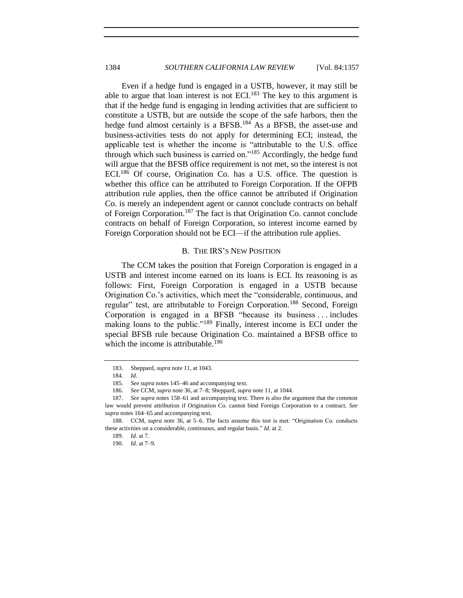Even if a hedge fund is engaged in a USTB, however, it may still be able to argue that loan interest is not ECI.<sup>183</sup> The key to this argument is that if the hedge fund is engaging in lending activities that are sufficient to constitute a USTB, but are outside the scope of the safe harbors, then the hedge fund almost certainly is a BFSB.<sup>184</sup> As a BFSB, the asset-use and business-activities tests do not apply for determining ECI; instead, the applicable test is whether the income is "attributable to the U.S. office through which such business is carried on." $185$  Accordingly, the hedge fund will argue that the BFSB office requirement is not met, so the interest is not ECI.<sup>186</sup> Of course, Origination Co. has a U.S. office. The question is whether this office can be attributed to Foreign Corporation. If the OFPB attribution rule applies, then the office cannot be attributed if Origination Co. is merely an independent agent or cannot conclude contracts on behalf of Foreign Corporation.<sup>187</sup> The fact is that Origination Co. cannot conclude contracts on behalf of Foreign Corporation, so interest income earned by Foreign Corporation should not be ECI—if the attribution rule applies.

# B. THE IRS'S NEW POSITION

<span id="page-27-0"></span>The CCM takes the position that Foreign Corporation is engaged in a USTB and interest income earned on its loans is ECI. Its reasoning is as follows: First, Foreign Corporation is engaged in a USTB because Origination Co.'s activities, which meet the "considerable, continuous, and regular" test, are attributable to Foreign Corporation.<sup>188</sup> Second, Foreign Corporation is engaged in a BFSB "because its business ... includes making loans to the public."<sup>189</sup> Finally, interest income is ECI under the special BFSB rule because Origination Co. maintained a BFSB office to which the income is attributable.<sup>190</sup>

<sup>183.</sup> Sheppard, *supra* not[e 11,](#page-2-5) at 1043.

<sup>184.</sup> *Id.*

<sup>185.</sup> *See supra* note[s 145](#page-21-4)[–46](#page-21-5) and accompanying text.

<sup>186.</sup> *See* CCM, *supra* not[e 36,](#page-6-0) at 7–8; Sheppard, *supra* not[e 11,](#page-2-5) at 1044.

<sup>187.</sup> *See supra* notes [158–](#page-23-1)[61](#page-23-2) and accompanying text. There is also the argument that the common law would prevent attribution if Origination Co. cannot bind Foreign Corporation to a contract. *See supra* note[s 164](#page-24-1)[–65](#page-24-2) and accompanying text.

<sup>188.</sup> CCM, *supra* note [36,](#page-6-0) at 5–6. The facts assume this test is met: "Origination Co. conducts these activities on a considerable, continuous, and regular basis." *Id.* at 2.

<sup>189.</sup> *Id.* at 7.

<sup>190.</sup> *Id.* at 7–9.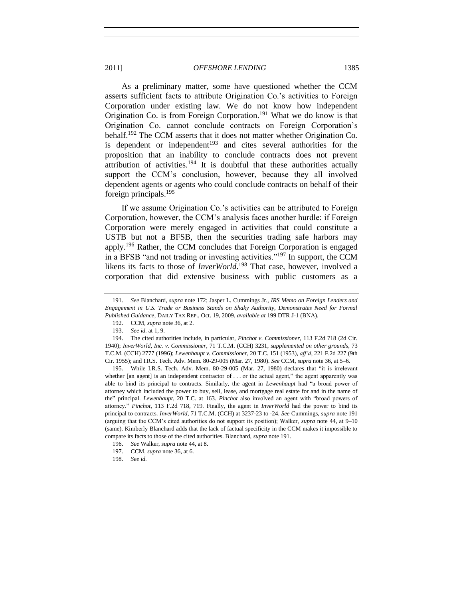<span id="page-28-0"></span>As a preliminary matter, some have questioned whether the CCM asserts sufficient facts to attribute Origination Co.'s activities to Foreign Corporation under existing law. We do not know how independent Origination Co. is from Foreign Corporation.<sup>191</sup> What we do know is that Origination Co. cannot conclude contracts on Foreign Corporation's behalf.<sup>192</sup> The CCM asserts that it does not matter whether Origination Co. is dependent or independent<sup>193</sup> and cites several authorities for the proposition that an inability to conclude contracts does not prevent attribution of activities.<sup>194</sup> It is doubtful that these authorities actually support the CCM's conclusion, however, because they all involved dependent agents or agents who could conclude contracts on behalf of their foreign principals.<sup>195</sup>

If we assume Origination Co.'s activities can be attributed to Foreign Corporation, however, the CCM's analysis faces another hurdle: if Foreign Corporation were merely engaged in activities that could constitute a USTB but not a BFSB, then the securities trading safe harbors may apply.<sup>196</sup> Rather, the CCM concludes that Foreign Corporation is engaged in a BFSB "and not trading or investing activities."<sup>197</sup> In support, the CCM likens its facts to those of *InverWorld*. <sup>198</sup> That case, however, involved a corporation that did extensive business with public customers as a

195. While I.R.S. Tech. Adv. Mem. 80-29-005 (Mar. 27, 1980) declares that "it is irrelevant whether [an agent] is an independent contractor of  $\dots$  or the actual agent," the agent apparently was able to bind its principal to contracts. Similarly, the agent in *Lewenhaupt* had "a broad power of attorney which included the power to buy, sell, lease, and mortgage real estate for and in the name of the" principal. *Lewenhaupt*, 20 T.C. at 163. *Pinchot* also involved an agent with "broad powers of attorney.‖ *Pinchot*, 113 F.2d 718, 719. Finally, the agent in *InverWorld* had the power to bind its principal to contracts. *InverWorld*, 71 T.C.M. (CCH) at 3237-23 to -24. *See* Cummings, *supra* not[e 191](#page-28-0) (arguing that the CCM's cited authorities do not support its position); Walker, *supra* note [44,](#page-8-0) at 9–10 (same). Kimberly Blanchard adds that the lack of factual specificity in the CCM makes it impossible to compare its facts to those of the cited authorities. Blanchard, *supra* not[e 191.](#page-28-0)

<sup>191.</sup> *See* Blanchard, *supra* not[e 172;](#page-25-2) Jasper L. Cummings Jr., *IRS Memo on Foreign Lenders and Engagement in U.S. Trade or Business Stands on Shaky Authority, Demonstrates Need for Formal Published Guidance*, DAILY TAX REP., Oct. 19, 2009, *available at* 199 DTR J-1 (BNA).

<sup>192.</sup> CCM, *supra* note [36,](#page-6-0) at 2.

<sup>193.</sup> *See id.* at 1, 9.

<sup>194.</sup> The cited authorities include, in particular, *Pinchot v. Commissioner*, 113 F.2d 718 (2d Cir. 1940); *InverWorld, Inc. v. Commissioner*, 71 T.C.M. (CCH) 3231, *supplemented on other grounds*, 73 T.C.M. (CCH) 2777 (1996); *Lewenhaupt v. Commissioner*, 20 T.C. 151 (1953), *aff'd*, 221 F.2d 227 (9th Cir. 1955); and I.R.S. Tech. Adv. Mem. 80-29-005 (Mar. 27, 1980). *See* CCM, *supra* not[e 36,](#page-6-0) at 5–6.

<sup>196.</sup> *See* Walker, *supra* not[e 44,](#page-8-0) at 8.

<sup>197.</sup> CCM, *supra* note [36,](#page-6-0) at 6.

<sup>198.</sup> *See id.*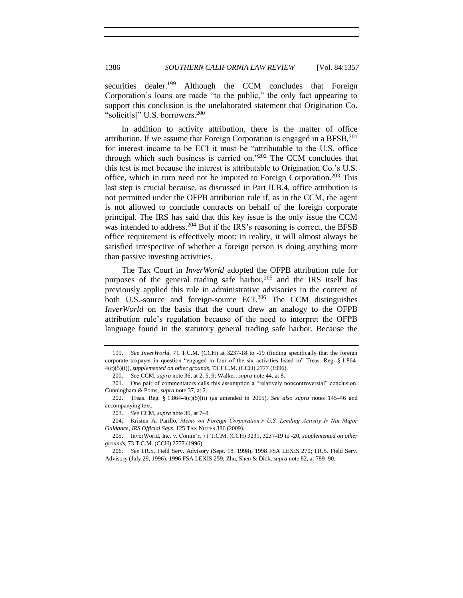securities dealer.<sup>199</sup> Although the CCM concludes that Foreign Corporation's loans are made "to the public," the only fact appearing to support this conclusion is the unelaborated statement that Origination Co. "solicit[s]" U.S. borrowers. $200$ 

In addition to activity attribution, there is the matter of office attribution. If we assume that Foreign Corporation is engaged in a  $BFSB$ ,  $201$ for interest income to be ECI it must be "attributable to the U.S. office through which such business is carried on." $202$  The CCM concludes that this test is met because the interest is attributable to Origination Co.'s U.S. office, which in turn need not be imputed to Foreign Corporation.<sup>203</sup> This last step is crucial because, as discussed in Part II.B.4, office attribution is not permitted under the OFPB attribution rule if, as in the CCM, the agent is not allowed to conclude contracts on behalf of the foreign corporate principal. The IRS has said that this key issue is the only issue the CCM was intended to address.<sup>204</sup> But if the IRS's reasoning is correct, the BFSB office requirement is effectively moot: in reality, it will almost always be satisfied irrespective of whether a foreign person is doing anything more than passive investing activities.

<span id="page-29-0"></span>The Tax Court in *InverWorld* adopted the OFPB attribution rule for purposes of the general trading safe harbor,  $205$  and the IRS itself has previously applied this rule in administrative advisories in the context of both U.S.-source and foreign-source ECI.<sup>206</sup> The CCM distinguishes *InverWorld* on the basis that the court drew an analogy to the OFPB attribution rule's regulation because of the need to interpret the OFPB language found in the statutory general trading safe harbor. Because the

<sup>199.</sup> *See InverWorld*, 71 T.C.M. (CCH) at 3237-18 to -19 (finding specifically that the foreign corporate taxpayer in question "engaged in four of the six activities listed in" Treas. Reg. § 1.864-4(c)(5)(i)), *supplemented on other grounds*, 73 T.C.M. (CCH) 2777 (1996).

<sup>200.</sup> *See* CCM, *supra* not[e 36,](#page-6-0) at 2, 5, 9; Walker, *supra* not[e 44,](#page-8-0) at 8.

<sup>201.</sup> One pair of commentators calls this assumption a "relatively noncontroversial" conclusion. Cunningham & Poms, *supra* not[e 37,](#page-6-1) at 2.

<sup>202.</sup> Treas. Reg. § 1.864-4(c)(5)(ii) (as amended in 2005). *See also supra* notes [145](#page-21-4)[–46](#page-21-5) and accompanying text.

<sup>203.</sup> *See* CCM, *supra* not[e 36,](#page-6-0) at 7–8.

<sup>204.</sup> Kristen A. Parillo, *Memo on Foreign Corporation's U.S. Lending Activity Is Not Major Guidance, IRS Official Says*, 125 TAX NOTES 386 (2009).

<sup>205.</sup> InverWorld, Inc. v. Comm'r, 71 T.C.M. (CCH) 3231, 3237-19 to -20, *supplemented on other grounds*, 73 T.C.M. (CCH) 2777 (1996).

<sup>206.</sup> *See* I.R.S. Field Serv. Advisory (Sept. 18, 1998), 1998 FSA LEXIS 270; I.R.S. Field Serv. Advisory (July 29, 1996), 1996 FSA LEXIS 259; Zhu, Shen & Dick, *supra* note [82,](#page-13-0) at 789–90.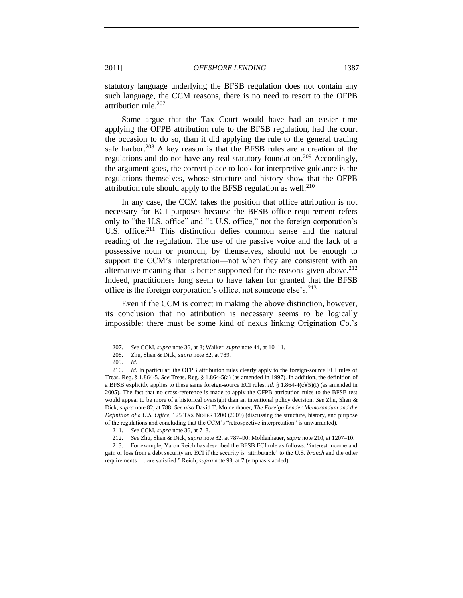statutory language underlying the BFSB regulation does not contain any such language, the CCM reasons, there is no need to resort to the OFPB attribution rule.<sup>207</sup>

Some argue that the Tax Court would have had an easier time applying the OFPB attribution rule to the BFSB regulation, had the court the occasion to do so, than it did applying the rule to the general trading safe harbor.<sup>208</sup> A key reason is that the BFSB rules are a creation of the regulations and do not have any real statutory foundation.<sup>209</sup> Accordingly, the argument goes, the correct place to look for interpretive guidance is the regulations themselves, whose structure and history show that the OFPB attribution rule should apply to the BFSB regulation as well. $^{210}$ 

<span id="page-30-0"></span>In any case, the CCM takes the position that office attribution is not necessary for ECI purposes because the BFSB office requirement refers only to "the U.S. office" and "a U.S. office," not the foreign corporation's U.S. office.<sup>211</sup> This distinction defies common sense and the natural reading of the regulation. The use of the passive voice and the lack of a possessive noun or pronoun, by themselves, should not be enough to support the CCM's interpretation—not when they are consistent with an alternative meaning that is better supported for the reasons given above.<sup>212</sup> Indeed, practitioners long seem to have taken for granted that the BFSB office is the foreign corporation's office, not someone else's. $2^{13}$ 

Even if the CCM is correct in making the above distinction, however, its conclusion that no attribution is necessary seems to be logically impossible: there must be some kind of nexus linking Origination Co.'s

<sup>207.</sup> *See* CCM, *supra* not[e 36,](#page-6-0) at 8; Walker, *supra* not[e 44,](#page-8-0) at 10–11.

<sup>208.</sup> Zhu, Shen & Dick, *supra* note [82,](#page-13-0) at 789.

<sup>209.</sup> *Id.*

<sup>210.</sup> *Id.* In particular, the OFPB attribution rules clearly apply to the foreign-source ECI rules of Treas. Reg. § 1.864-5. *See* Treas. Reg. § 1.864-5(a) (as amended in 1997). In addition, the definition of a BFSB explicitly applies to these same foreign-source ECI rules. *Id.* § 1.864-4(c)(5)(i) (as amended in 2005). The fact that no cross-reference is made to apply the OFPB attribution rules to the BFSB test would appear to be more of a historical oversight than an intentional policy decision. *See* Zhu, Shen & Dick, *supra* not[e 82,](#page-13-0) at 788. *See also* David T. Moldenhauer, *The Foreign Lender Memorandum and the Definition of a U.S. Office*, 125 TAX NOTES 1200 (2009) (discussing the structure, history, and purpose of the regulations and concluding that the CCM's "retrospective interpretation" is unwarranted).

<sup>211.</sup> *See* CCM, *supra* not[e 36,](#page-6-0) at 7–8.

<sup>212.</sup> *See* Zhu, Shen & Dick, *supra* note [82,](#page-13-0) at 787–90; Moldenhauer, *supra* not[e 210,](#page-30-0) at 1207–10.

<sup>213.</sup> For example, Yaron Reich has described the BFSB ECI rule as follows: "interest income and gain or loss from a debt security are ECI if the security is ‗attributable' to the U.S. *branch* and the other requirements . . . are satisfied." Reich, *supra* not[e 98,](#page-14-1) at 7 (emphasis added).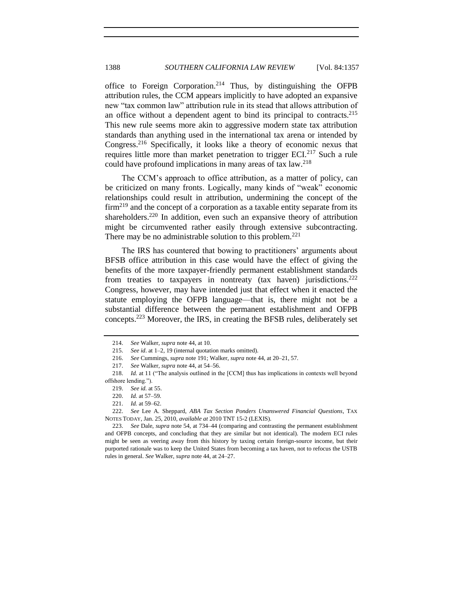<span id="page-31-4"></span><span id="page-31-0"></span>office to Foreign Corporation.<sup>214</sup> Thus, by distinguishing the OFPB attribution rules, the CCM appears implicitly to have adopted an expansive new "tax common law" attribution rule in its stead that allows attribution of an office without a dependent agent to bind its principal to contracts.<sup>215</sup> This new rule seems more akin to aggressive modern state tax attribution standards than anything used in the international tax arena or intended by Congress.<sup>216</sup> Specifically, it looks like a theory of economic nexus that requires little more than market penetration to trigger  $ECI<sup>217</sup>$  Such a rule could have profound implications in many areas of tax law.<sup>218</sup>

<span id="page-31-3"></span>The CCM's approach to office attribution, as a matter of policy, can be criticized on many fronts. Logically, many kinds of "weak" economic relationships could result in attribution, undermining the concept of the  $firm<sup>219</sup>$  and the concept of a corporation as a taxable entity separate from its shareholders.<sup>220</sup> In addition, even such an expansive theory of attribution might be circumvented rather easily through extensive subcontracting. There may be no administrable solution to this problem.<sup>221</sup>

<span id="page-31-2"></span><span id="page-31-1"></span>The IRS has countered that bowing to practitioners' arguments about BFSB office attribution in this case would have the effect of giving the benefits of the more taxpayer-friendly permanent establishment standards from treaties to taxpayers in nontreaty (tax haven) jurisdictions.<sup>222</sup> Congress, however, may have intended just that effect when it enacted the statute employing the OFPB language—that is, there might not be a substantial difference between the permanent establishment and OFPB concepts.<sup>223</sup> Moreover, the IRS, in creating the BFSB rules, deliberately set

<sup>214.</sup> *See* Walker, *supra* not[e 44,](#page-8-0) at 10.

<sup>215.</sup> *See id*. at 1–2, 19 (internal quotation marks omitted).

<sup>216.</sup> *See* Cummings, *supra* not[e 191;](#page-28-0) Walker, *supra* not[e 44,](#page-8-0) at 20–21, 57.

<sup>217.</sup> *See* Walker, *supra* not[e 44,](#page-8-0) at 54–56.

<sup>218.</sup> *Id.* at 11 ("The analysis outlined in the [CCM] thus has implications in contexts well beyond offshore lending.").

<sup>219.</sup> *See id.* at 55.

<sup>220.</sup> *Id.* at 57–59.

<sup>221.</sup> *Id.* at 59–62.

<sup>222.</sup> *See* Lee A. Sheppard, *ABA Tax Section Ponders Unanswered Financial Questions*, TAX NOTES TODAY, Jan. 25, 2010, *available at* 2010 TNT 15-2 (LEXIS).

<sup>223.</sup> *See* Dale, *supra* not[e 54,](#page-9-2) at 734–44 (comparing and contrasting the permanent establishment and OFPB concepts, and concluding that they are similar but not identical). The modern ECI rules might be seen as veering away from this history by taxing certain foreign-source income, but their purported rationale was to keep the United States from becoming a tax haven, not to refocus the USTB rules in general. *See* Walker, *supra* not[e 44,](#page-8-0) at 24–27.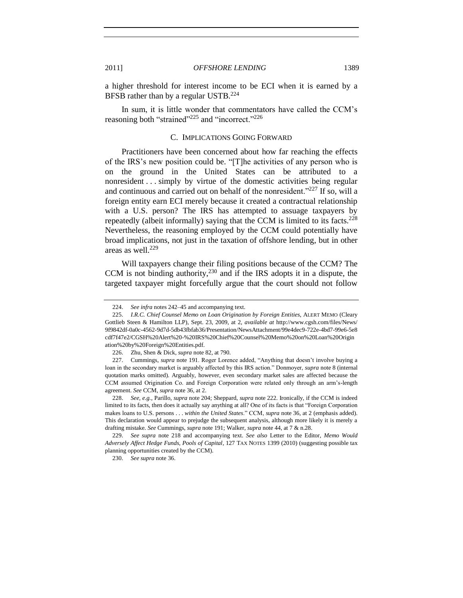a higher threshold for interest income to be ECI when it is earned by a BFSB rather than by a regular USTB.<sup>224</sup>

<span id="page-32-0"></span>In sum, it is little wonder that commentators have called the CCM's reasoning both "strained"<sup>225</sup> and "incorrect."<sup>226</sup>

#### C. IMPLICATIONS GOING FORWARD

Practitioners have been concerned about how far reaching the effects of the IRS's new position could be. "[T]he activities of any person who is on the ground in the United States can be attributed to a nonresident . . . simply by virtue of the domestic activities being regular and continuous and carried out on behalf of the nonresident." $^{227}$  If so, will a foreign entity earn ECI merely because it created a contractual relationship with a U.S. person? The IRS has attempted to assuage taxpayers by repeatedly (albeit informally) saying that the CCM is limited to its facts.<sup>228</sup> Nevertheless, the reasoning employed by the CCM could potentially have broad implications, not just in the taxation of offshore lending, but in other areas as well. $229$ 

Will taxpayers change their filing positions because of the CCM? The CCM is not binding authority, $230$  and if the IRS adopts it in a dispute, the targeted taxpayer might forcefully argue that the court should not follow

<sup>224.</sup> *See infra* note[s 242](#page-34-0)[–45](#page-34-1) and accompanying text.

<sup>225.</sup> *I.R.C. Chief Counsel Memo on Loan Origination by Foreign Entities*, ALERT MEMO (Cleary Gottlieb Steen & Hamilton LLP), Sept. 23, 2009, at 2, *available at* http://www.cgsh.com/files/News/ 9f9842df-0a0c-4562-9d7d-5db43fbfab36/Presentation/NewsAttachment/99e4dec9-722e-4bd7-99e6-5e8 cdf7f47e2/CGSH%20Alert%20-%20IRS%20Chief%20Counsel%20Memo%20on%20Loan%20Origin ation%20by%20Foreign%20Entities.pdf.

<sup>226.</sup> Zhu, Shen & Dick, *supra* not[e 82,](#page-13-0) at 790.

<sup>227.</sup> Cummings, *supra* note [191.](#page-28-0) Roger Lorence added, "Anything that doesn't involve buying a loan in the secondary market is arguably affected by this IRS action." Donmoyer, *supra* note [8](#page-2-3) (internal quotation marks omitted). Arguably, however, even secondary market sales are affected because the CCM assumed Origination Co. and Foreign Corporation were related only through an arm's-length agreement. *See* CCM, *supra* note [36,](#page-6-0) at 2.

<sup>228.</sup> *See, e.g.*, Parillo, *supra* not[e 204;](#page-29-0) Sheppard, *supra* not[e 222.](#page-31-2) Ironically, if the CCM is indeed limited to its facts, then does it actually say anything at all? One of its facts is that "Foreign Corporation makes loans to U.S. persons . . . *within the United States*." CCM, *supra* note [36,](#page-6-0) at 2 (emphasis added). This declaration would appear to prejudge the subsequent analysis, although more likely it is merely a drafting mistake. *See* Cummings, *supra* not[e 191;](#page-28-0) Walker, *supra* not[e 44,](#page-8-0) at 7 & n.28.

<sup>229.</sup> *See supra* note [218](#page-31-3) and accompanying text. *See also* Letter to the Editor, *Memo Would Adversely Affect Hedge Funds, Pools of Capital*, 127 TAX NOTES 1399 (2010) (suggesting possible tax planning opportunities created by the CCM).

<sup>230.</sup> *See supra* not[e 36.](#page-6-0)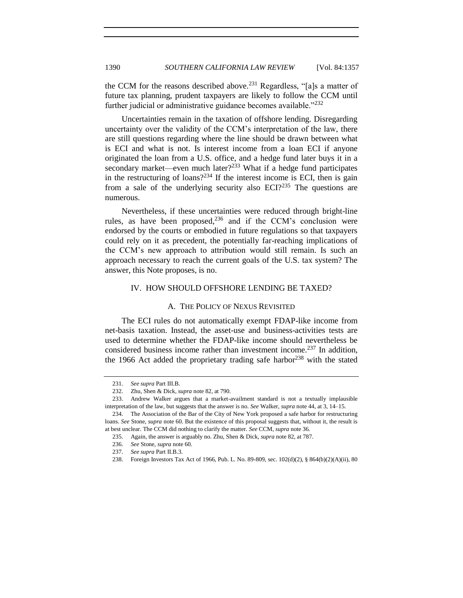the CCM for the reasons described above.<sup>231</sup> Regardless, "[a]s a matter of future tax planning, prudent taxpayers are likely to follow the CCM until further judicial or administrative guidance becomes available.<sup> $232$ </sup>

Uncertainties remain in the taxation of offshore lending. Disregarding uncertainty over the validity of the CCM's interpretation of the law, there are still questions regarding where the line should be drawn between what is ECI and what is not. Is interest income from a loan ECI if anyone originated the loan from a U.S. office, and a hedge fund later buys it in a secondary market—even much later?<sup>233</sup> What if a hedge fund participates in the restructuring of loans?<sup>234</sup> If the interest income is ECI, then is gain from a sale of the underlying security also  $ECI<sup>235</sup>$  The questions are numerous.

Nevertheless, if these uncertainties were reduced through bright-line rules, as have been proposed,  $236$  and if the CCM's conclusion were endorsed by the courts or embodied in future regulations so that taxpayers could rely on it as precedent, the potentially far-reaching implications of the CCM's new approach to attribution would still remain. Is such an approach necessary to reach the current goals of the U.S. tax system? The answer, this Note proposes, is no.

# <span id="page-33-0"></span>IV. HOW SHOULD OFFSHORE LENDING BE TAXED?

#### A. THE POLICY OF NEXUS REVISITED

<span id="page-33-1"></span>The ECI rules do not automatically exempt FDAP-like income from net-basis taxation. Instead, the asset-use and business-activities tests are used to determine whether the FDAP-like income should nevertheless be considered business income rather than investment income.<sup>237</sup> In addition, the 1966 Act added the proprietary trading safe harbor $^{238}$  with the stated

<sup>231.</sup> *See supra* Part III.B.

<sup>232.</sup> Zhu, Shen & Dick, *supra* not[e 82,](#page-13-0) at 790.

<sup>233.</sup> Andrew Walker argues that a market-availment standard is not a textually implausible interpretation of the law, but suggests that the answer is no. *See* Walker, *supra* note [44,](#page-8-0) at 3, 14–15.

<sup>234.</sup> The Association of the Bar of the City of New York proposed a safe harbor for restructuring loans. *See* Stone, *supra* not[e 60.](#page-10-3) But the existence of this proposal suggests that, without it, the result is at best unclear. The CCM did nothing to clarify the matter. *See* CCM, *supra* not[e 36.](#page-6-0)

<sup>235.</sup> Again, the answer is arguably no. Zhu, Shen & Dick, *supra* not[e 82,](#page-13-0) at 787.

<sup>236.</sup> *See* Stone, *supra* not[e 60.](#page-10-3)

<sup>237.</sup> *See supra* Part II.B.3.

<sup>238.</sup> Foreign Investors Tax Act of 1966, Pub. L. No. 89-809, sec. 102(d)(2), § 864(b)(2)(A)(ii), 80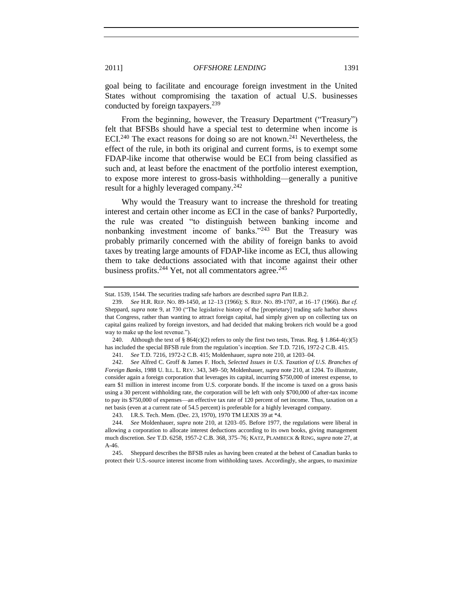goal being to facilitate and encourage foreign investment in the United States without compromising the taxation of actual U.S. businesses conducted by foreign taxpayers.<sup>239</sup>

<span id="page-34-2"></span>From the beginning, however, the Treasury Department ("Treasury") felt that BFSBs should have a special test to determine when income is ECI.<sup>240</sup> The exact reasons for doing so are not known.<sup>241</sup> Nevertheless, the effect of the rule, in both its original and current forms, is to exempt some FDAP-like income that otherwise would be ECI from being classified as such and, at least before the enactment of the portfolio interest exemption, to expose more interest to gross-basis withholding—generally a punitive result for a highly leveraged company.<sup>242</sup>

<span id="page-34-0"></span>Why would the Treasury want to increase the threshold for treating interest and certain other income as ECI in the case of banks? Purportedly, the rule was created "to distinguish between banking income and nonbanking investment income of banks." $243$  But the Treasury was probably primarily concerned with the ability of foreign banks to avoid taxes by treating large amounts of FDAP-like income as ECI, thus allowing them to take deductions associated with that income against their other business profits. $^{244}$  Yet, not all commentators agree. $^{245}$ 

<span id="page-34-1"></span>Stat. 1539, 1544. The securities trading safe harbors are described *supra* Part II.B.2.

<sup>239.</sup> *See* H.R. REP. NO. 89-1450, at 12–13 (1966); S. REP. NO. 89-1707, at 16–17 (1966). *But cf.* Sheppard, *supra* note [9,](#page-2-4) at 730 ("The legislative history of the [proprietary] trading safe harbor shows that Congress, rather than wanting to attract foreign capital, had simply given up on collecting tax on capital gains realized by foreign investors, and had decided that making brokers rich would be a good way to make up the lost revenue.").

<sup>240.</sup> Although the text of § 864(c)(2) refers to only the first two tests, Treas. Reg. § 1.864-4(c)(5) has included the special BFSB rule from the regulation's inception. *See* T.D. 7216, 1972-2 C.B. 415.

<sup>241.</sup> *See* T.D. 7216, 1972-2 C.B. 415; Moldenhauer, *supra* not[e 210,](#page-30-0) at 1203–04.

<sup>242.</sup> *See* Alfred C. Groff & James F. Hoch, *Selected Issues in U.S. Taxation of U.S. Branches of Foreign Banks*, 1988 U. ILL. L. REV. 343, 349–50; Moldenhauer, *supra* not[e 210,](#page-30-0) at 1204. To illustrate, consider again a foreign corporation that leverages its capital, incurring \$750,000 of interest expense, to earn \$1 million in interest income from U.S. corporate bonds. If the income is taxed on a gross basis using a 30 percent withholding rate, the corporation will be left with only \$700,000 of after-tax income to pay its \$750,000 of expenses—an effective tax rate of 120 percent of net income. Thus, taxation on a net basis (even at a current rate of 54.5 percent) is preferable for a highly leveraged company.

<sup>243.</sup> I.R.S. Tech. Mem. (Dec. 23, 1970), 1970 TM LEXIS 39 at \*4.

<sup>244.</sup> *See* Moldenhauer, *supra* note [210,](#page-30-0) at 1203–05. Before 1977, the regulations were liberal in allowing a corporation to allocate interest deductions according to its own books, giving management much discretion. *See* T.D. 6258, 1957-2 C.B. 368, 375–76; KATZ, PLAMBECK & RING, *supra* not[e 27,](#page-4-0) at A-46.

<sup>245.</sup> Sheppard describes the BFSB rules as having been created at the behest of Canadian banks to protect their U.S.-source interest income from withholding taxes. Accordingly, she argues, to maximize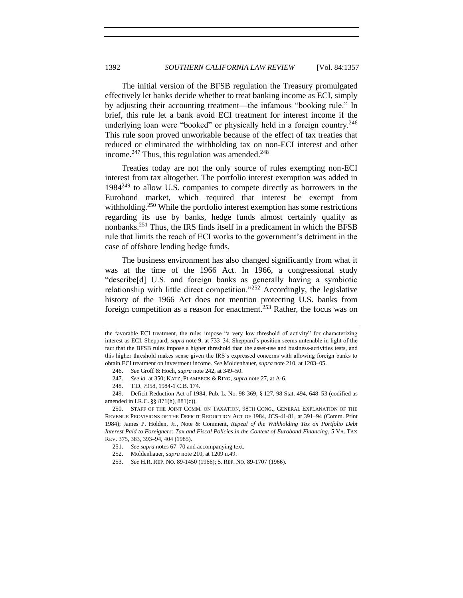The initial version of the BFSB regulation the Treasury promulgated effectively let banks decide whether to treat banking income as ECI, simply by adjusting their accounting treatment—the infamous "booking rule." In brief, this rule let a bank avoid ECI treatment for interest income if the underlying loan were "booked" or physically held in a foreign country.<sup>246</sup> This rule soon proved unworkable because of the effect of tax treaties that reduced or eliminated the withholding tax on non-ECI interest and other income.<sup>247</sup> Thus, this regulation was amended.<sup>248</sup>

<span id="page-35-0"></span>Treaties today are not the only source of rules exempting non-ECI interest from tax altogether. The portfolio interest exemption was added in  $1984^{249}$  to allow U.S. companies to compete directly as borrowers in the Eurobond market, which required that interest be exempt from withholding.<sup>250</sup> While the portfolio interest exemption has some restrictions regarding its use by banks, hedge funds almost certainly qualify as nonbanks.<sup>251</sup> Thus, the IRS finds itself in a predicament in which the BFSB rule that limits the reach of ECI works to the government's detriment in the case of offshore lending hedge funds.

The business environment has also changed significantly from what it was at the time of the 1966 Act. In 1966, a congressional study "describe[d] U.S. and foreign banks as generally having a symbiotic relationship with little direct competition.<sup>2252</sup> Accordingly, the legislative history of the 1966 Act does not mention protecting U.S. banks from foreign competition as a reason for enactment.<sup>253</sup> Rather, the focus was on

the favorable ECI treatment, the rules impose "a very low threshold of activity" for characterizing interest as ECI. Sheppard, *supra* not[e 9,](#page-2-4) at 733–34. Sheppard's position seems untenable in light of the fact that the BFSB rules impose a higher threshold than the asset-use and business-activities tests, and this higher threshold makes sense given the IRS's expressed concerns with allowing foreign banks to obtain ECI treatment on investment income. *See* Moldenhauer, *supra* not[e 210,](#page-30-0) at 1203–05.

<sup>246.</sup> *See* Groff & Hoch, *supra* not[e 242,](#page-34-0) at 349–50.

<sup>247.</sup> *See id.* at 350; KATZ, PLAMBECK & RING, *supra* note [27,](#page-4-0) at A-6.

<sup>248.</sup> T.D. 7958, 1984-1 C.B. 174.

<sup>249.</sup> Deficit Reduction Act of 1984, Pub. L. No. 98-369, § 127, 98 Stat. 494, 648–53 (codified as amended in I.R.C. §§ 871(h), 881(c)).

<sup>250.</sup> STAFF OF THE JOINT COMM. ON TAXATION, 98TH CONG., GENERAL EXPLANATION OF THE REVENUE PROVISIONS OF THE DEFICIT REDUCTION ACT OF 1984, JCS-41-81, at 391–94 (Comm. Print 1984); James P. Holden, Jr., Note & Comment, *Repeal of the Withholding Tax on Portfolio Debt Interest Paid to Foreigners: Tax and Fiscal Policies in the Context of Eurobond Financing*, 5 VA. TAX REV. 375, 383, 393–94, 404 (1985).

<sup>251.</sup> *See supra* notes [67](#page-11-3)[–70](#page-11-1) and accompanying text.

<sup>252.</sup> Moldenhauer, *supra* not[e 210,](#page-30-0) at 1209 n.49.

<sup>253.</sup> *See* H.R. REP. NO. 89-1450 (1966); S. REP. NO. 89-1707 (1966).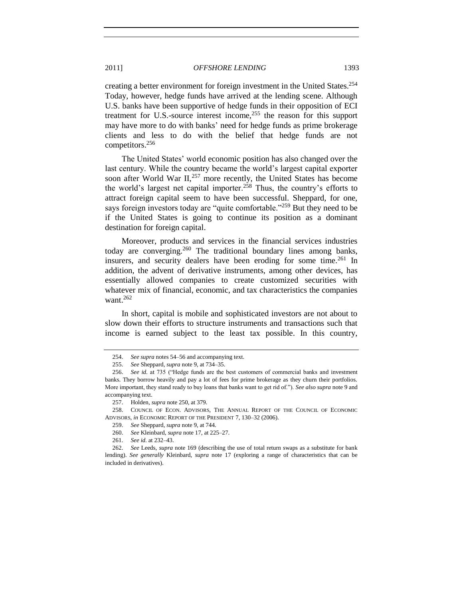<span id="page-36-0"></span>creating a better environment for foreign investment in the United States.<sup>254</sup> Today, however, hedge funds have arrived at the lending scene. Although U.S. banks have been supportive of hedge funds in their opposition of ECI treatment for U.S.-source interest income, $255$  the reason for this support may have more to do with banks' need for hedge funds as prime brokerage clients and less to do with the belief that hedge funds are not competitors. 256

<span id="page-36-1"></span>The United States' world economic position has also changed over the last century. While the country became the world's largest capital exporter soon after World War  $II$ ,<sup>257</sup> more recently, the United States has become the world's largest net capital importer.<sup>258</sup> Thus, the country's efforts to attract foreign capital seem to have been successful. Sheppard, for one, says foreign investors today are "quite comfortable."<sup>259</sup> But they need to be if the United States is going to continue its position as a dominant destination for foreign capital.

<span id="page-36-2"></span>Moreover, products and services in the financial services industries today are converging.<sup>260</sup> The traditional boundary lines among banks, insurers, and security dealers have been eroding for some time.  $261$  In addition, the advent of derivative instruments, among other devices, has essentially allowed companies to create customized securities with whatever mix of financial, economic, and tax characteristics the companies want. $262$ 

<span id="page-36-3"></span>In short, capital is mobile and sophisticated investors are not about to slow down their efforts to structure instruments and transactions such that income is earned subject to the least tax possible. In this country,

<sup>254.</sup> *See supra* note[s 54](#page-9-2)[–56](#page-9-3) and accompanying text.

<sup>255.</sup> *See* Sheppard, *supra* not[e 9,](#page-2-4) at 734–35.

<sup>256.</sup> See id. at 735 ("Hedge funds are the best customers of commercial banks and investment banks. They borrow heavily and pay a lot of fees for prime brokerage as they churn their portfolios. More important, they stand ready to buy loans that banks want to get rid of."). *See also supra* not[e 9](#page-2-4) and accompanying text.

<sup>257.</sup> Holden, *supra* not[e 250,](#page-35-0) at 379.

<sup>258.</sup> COUNCIL OF ECON. ADVISORS, THE ANNUAL REPORT OF THE COUNCIL OF ECONOMIC ADVISORS, *in* ECONOMIC REPORT OF THE PRESIDENT 7, 130–32 (2006).

<sup>259.</sup> *See* Sheppard, *supra* not[e 9,](#page-2-4) at 744.

<sup>260.</sup> *See* Kleinbard, *supra* not[e 17,](#page-3-1) at 225–27.

<sup>261.</sup> *See id.* at 232–43.

<sup>262.</sup> *See* Leeds, *supra* not[e 169](#page-25-1) (describing the use of total return swaps as a substitute for bank lending). *See generally* Kleinbard, *supra* note [17](#page-3-1) (exploring a range of characteristics that can be included in derivatives).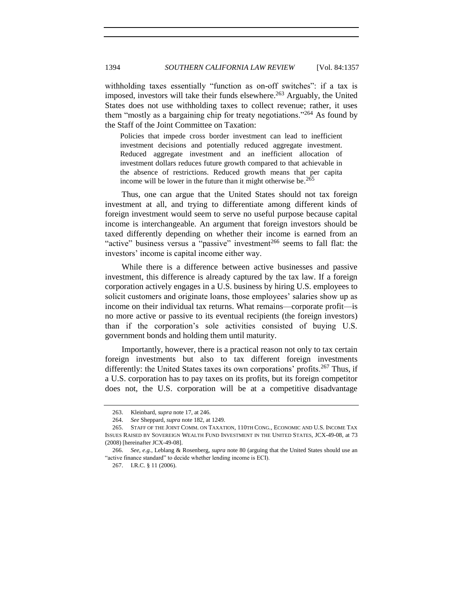withholding taxes essentially "function as on-off switches": if a tax is imposed, investors will take their funds elsewhere.<sup>263</sup> Arguably, the United States does not use withholding taxes to collect revenue; rather, it uses them "mostly as a bargaining chip for treaty negotiations."<sup>264</sup> As found by the Staff of the Joint Committee on Taxation:

Policies that impede cross border investment can lead to inefficient investment decisions and potentially reduced aggregate investment. Reduced aggregate investment and an inefficient allocation of investment dollars reduces future growth compared to that achievable in the absence of restrictions. Reduced growth means that per capita income will be lower in the future than it might otherwise be.  $2^{65}$ 

Thus, one can argue that the United States should not tax foreign investment at all, and trying to differentiate among different kinds of foreign investment would seem to serve no useful purpose because capital income is interchangeable. An argument that foreign investors should be taxed differently depending on whether their income is earned from an "active" business versus a "passive" investment<sup>266</sup> seems to fall flat: the investors' income is capital income either way.

While there is a difference between active businesses and passive investment, this difference is already captured by the tax law. If a foreign corporation actively engages in a U.S. business by hiring U.S. employees to solicit customers and originate loans, those employees' salaries show up as income on their individual tax returns. What remains—corporate profit—is no more active or passive to its eventual recipients (the foreign investors) than if the corporation's sole activities consisted of buying U.S. government bonds and holding them until maturity.

Importantly, however, there is a practical reason not only to tax certain foreign investments but also to tax different foreign investments differently: the United States taxes its own corporations' profits.<sup>267</sup> Thus, if a U.S. corporation has to pay taxes on its profits, but its foreign competitor does not, the U.S. corporation will be at a competitive disadvantage

<sup>263.</sup> Kleinbard, *supra* not[e 17,](#page-3-1) at 246.

<sup>264.</sup> *See* Sheppard, *supra* not[e 182,](#page-26-0) at 1249.

<sup>265.</sup> STAFF OF THE JOINT COMM. ON TAXATION, 110TH CONG., ECONOMIC AND U.S. INCOME TAX ISSUES RAISED BY SOVEREIGN WEALTH FUND INVESTMENT IN THE UNITED STATES, JCX-49-08, at 73 (2008) [hereinafter JCX-49-08].

<sup>266.</sup> *See, e.g.*, Leblang & Rosenberg, *supra* note [80](#page-12-2) (arguing that the United States should use an "active finance standard" to decide whether lending income is ECI).

<sup>267.</sup> I.R.C. § 11 (2006).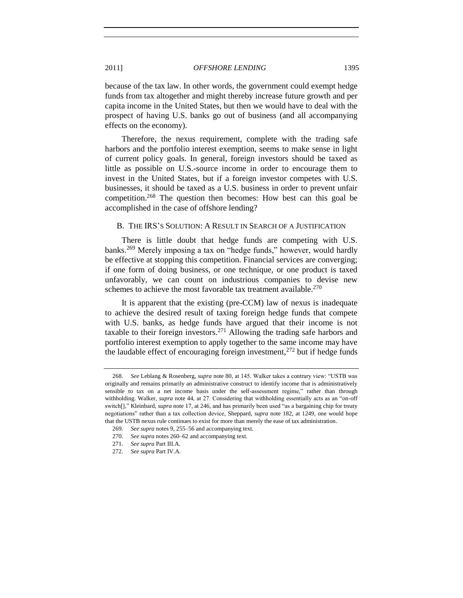because of the tax law. In other words, the government could exempt hedge funds from tax altogether and might thereby increase future growth and per capita income in the United States, but then we would have to deal with the prospect of having U.S. banks go out of business (and all accompanying effects on the economy).

Therefore, the nexus requirement, complete with the trading safe harbors and the portfolio interest exemption, seems to make sense in light of current policy goals. In general, foreign investors should be taxed as little as possible on U.S.-source income in order to encourage them to invest in the United States, but if a foreign investor competes with U.S. businesses, it should be taxed as a U.S. business in order to prevent unfair competition.<sup>268</sup> The question then becomes: How best can this goal be accomplished in the case of offshore lending?

# <span id="page-38-0"></span>B. THE IRS'S SOLUTION: A RESULT IN SEARCH OF A JUSTIFICATION

There is little doubt that hedge funds are competing with U.S. banks.<sup>269</sup> Merely imposing a tax on "hedge funds," however, would hardly be effective at stopping this competition. Financial services are converging; if one form of doing business, or one technique, or one product is taxed unfavorably, we can count on industrious companies to devise new schemes to achieve the most favorable tax treatment available.<sup>270</sup>

It is apparent that the existing (pre-CCM) law of nexus is inadequate to achieve the desired result of taxing foreign hedge funds that compete with U.S. banks, as hedge funds have argued that their income is not taxable to their foreign investors.<sup>271</sup> Allowing the trading safe harbors and portfolio interest exemption to apply together to the same income may have the laudable effect of encouraging foreign investment,  $272$  but if hedge funds

<sup>268.</sup> *See* Leblang & Rosenberg, *supra* not[e 80,](#page-12-2) at 145. Walker takes a contrary view: "USTB was originally and remains primarily an administrative construct to identify income that is administratively sensible to tax on a net income basis under the self-assessment regime," rather than through withholding. Walker, *supra* not[e 44,](#page-8-0) at 27. Considering that withholding essentially acts as an "on-off switch[]," Kleinbard, *supra* not[e 17,](#page-3-1) at 246, and has primarily been used "as a bargaining chip for treaty negotiations‖ rather than a tax collection device, Sheppard, *supra* note [182,](#page-26-0) at 1249, one would hope that the USTB nexus rule continues to exist for more than merely the ease of tax administration.

<sup>269.</sup> *See supra* note[s 9,](#page-2-4) [255](#page-36-0)[–56](#page-36-1) and accompanying text.

<sup>270.</sup> *See supra* note[s 260](#page-36-2)[–62](#page-36-3) and accompanying text.

<sup>271.</sup> *See supra* Part III.A.

<sup>272.</sup> *See supra* Part IV.A.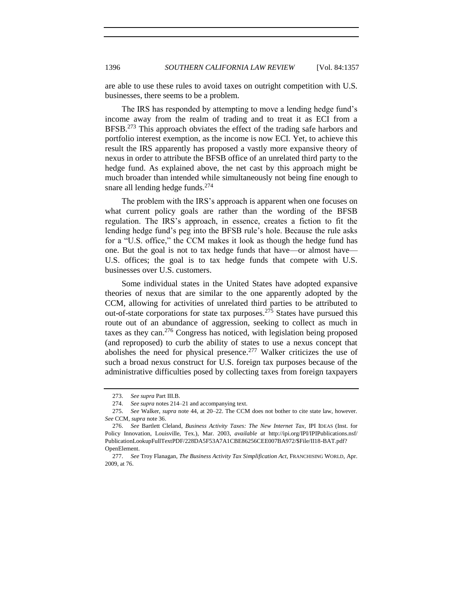are able to use these rules to avoid taxes on outright competition with U.S. businesses, there seems to be a problem.

The IRS has responded by attempting to move a lending hedge fund's income away from the realm of trading and to treat it as ECI from a BFSB.<sup>273</sup> This approach obviates the effect of the trading safe harbors and portfolio interest exemption, as the income is now ECI. Yet, to achieve this result the IRS apparently has proposed a vastly more expansive theory of nexus in order to attribute the BFSB office of an unrelated third party to the hedge fund. As explained above, the net cast by this approach might be much broader than intended while simultaneously not being fine enough to snare all lending hedge funds. $274$ 

The problem with the IRS's approach is apparent when one focuses on what current policy goals are rather than the wording of the BFSB regulation. The IRS's approach, in essence, creates a fiction to fit the lending hedge fund's peg into the BFSB rule's hole. Because the rule asks for a "U.S. office," the CCM makes it look as though the hedge fund has one. But the goal is not to tax hedge funds that have—or almost have— U.S. offices; the goal is to tax hedge funds that compete with U.S. businesses over U.S. customers.

Some individual states in the United States have adopted expansive theories of nexus that are similar to the one apparently adopted by the CCM, allowing for activities of unrelated third parties to be attributed to out-of-state corporations for state tax purposes.<sup>275</sup> States have pursued this route out of an abundance of aggression, seeking to collect as much in taxes as they can.<sup>276</sup> Congress has noticed, with legislation being proposed (and reproposed) to curb the ability of states to use a nexus concept that abolishes the need for physical presence.<sup>277</sup> Walker criticizes the use of such a broad nexus construct for U.S. foreign tax purposes because of the administrative difficulties posed by collecting taxes from foreign taxpayers

<sup>273.</sup> *See supra* Part III.B.

<sup>274.</sup> *See supra* note[s 214](#page-31-4)[–21](#page-31-1) and accompanying text.

<sup>275.</sup> *See* Walker, *supra* note [44,](#page-8-0) at 20–22. The CCM does not bother to cite state law, however. *See* CCM, *supra* not[e 36.](#page-6-0)

<sup>276.</sup> *See* Bartlett Cleland, *Business Activity Taxes: The New Internet Tax*, IPI IDEAS (Inst. for Policy Innovation, Louisville, Tex.), Mar. 2003, *available at* http://ipi.org/IPI/IPIPublications.nsf/ PublicationLookupFullTextPDF/228DA5F53A7A1CBE86256CEE007BA972/\$File/II18-BAT.pdf? OpenElement.

<sup>277.</sup> *See* Troy Flanagan, *The Business Activity Tax Simplification Act*, FRANCHISING WORLD, Apr. 2009, at 76.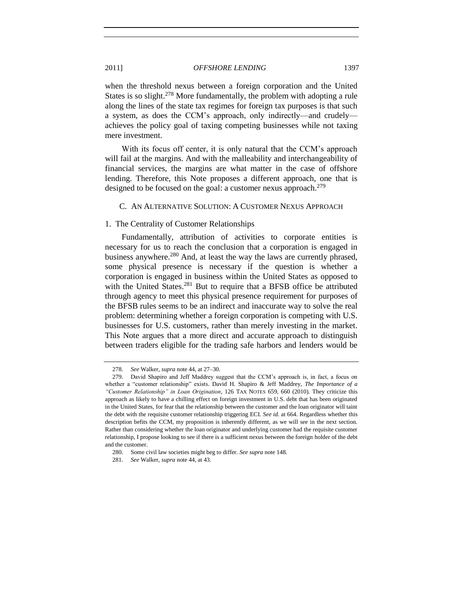when the threshold nexus between a foreign corporation and the United States is so slight.<sup>278</sup> More fundamentally, the problem with adopting a rule along the lines of the state tax regimes for foreign tax purposes is that such a system, as does the CCM's approach, only indirectly—and crudely achieves the policy goal of taxing competing businesses while not taxing mere investment.

With its focus off center, it is only natural that the CCM's approach will fail at the margins. And with the malleability and interchangeability of financial services, the margins are what matter in the case of offshore lending. Therefore, this Note proposes a different approach, one that is designed to be focused on the goal: a customer nexus approach.<sup>279</sup>

# <span id="page-40-2"></span><span id="page-40-0"></span>C. AN ALTERNATIVE SOLUTION: A CUSTOMER NEXUS APPROACH

# <span id="page-40-1"></span>1. The Centrality of Customer Relationships

Fundamentally, attribution of activities to corporate entities is necessary for us to reach the conclusion that a corporation is engaged in business anywhere.<sup>280</sup> And, at least the way the laws are currently phrased, some physical presence is necessary if the question is whether a corporation is engaged in business within the United States as opposed to with the United States.<sup>281</sup> But to require that a BFSB office be attributed through agency to meet this physical presence requirement for purposes of the BFSB rules seems to be an indirect and inaccurate way to solve the real problem: determining whether a foreign corporation is competing with U.S. businesses for U.S. customers, rather than merely investing in the market. This Note argues that a more direct and accurate approach to distinguish between traders eligible for the trading safe harbors and lenders would be

<sup>278.</sup> *See* Walker, *supra* not[e 44,](#page-8-0) at 27–30.

<sup>279.</sup> David Shapiro and Jeff Maddrey suggest that the CCM's approach is, in fact, a focus on whether a "customer relationship" exists. David H. Shapiro & Jeff Maddrey, *The Importance of a "Customer Relationship" in Loan Origination*, 126 TAX NOTES 659, 660 (2010). They criticize this approach as likely to have a chilling effect on foreign investment in U.S. debt that has been originated in the United States, for fear that the relationship between the customer and the loan originator will taint the debt with the requisite customer relationship triggering ECI. *See id.* at 664. Regardless whether this description befits the CCM, my proposition is inherently different, as we will see in the next section. Rather than considering whether the loan originator and underlying customer had the requisite customer relationship, I propose looking to see if there is a sufficient nexus between the foreign holder of the debt and the customer.

<sup>280.</sup> Some civil law societies might beg to differ. *See supra* note [148.](#page-21-6)

<sup>281.</sup> *See* Walker, *supra* not[e 44,](#page-8-0) at 43.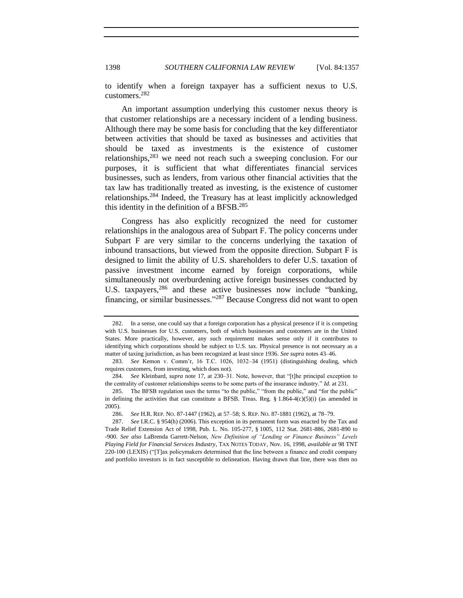to identify when a foreign taxpayer has a sufficient nexus to U.S. customers. 282

An important assumption underlying this customer nexus theory is that customer relationships are a necessary incident of a lending business. Although there may be some basis for concluding that the key differentiator between activities that should be taxed as businesses and activities that should be taxed as investments is the existence of customer relationships, $283$  we need not reach such a sweeping conclusion. For our purposes, it is sufficient that what differentiates financial services businesses, such as lenders, from various other financial activities that the tax law has traditionally treated as investing, is the existence of customer relationships.<sup>284</sup> Indeed, the Treasury has at least implicitly acknowledged this identity in the definition of a BFSB. $^{285}$ 

Congress has also explicitly recognized the need for customer relationships in the analogous area of Subpart F. The policy concerns under Subpart F are very similar to the concerns underlying the taxation of inbound transactions, but viewed from the opposite direction. Subpart F is designed to limit the ability of U.S. shareholders to defer U.S. taxation of passive investment income earned by foreign corporations, while simultaneously not overburdening active foreign businesses conducted by U.S. taxpayers,  $286$  and these active businesses now include "banking, financing, or similar businesses."<sup>287</sup> Because Congress did not want to open

<span id="page-41-0"></span><sup>282.</sup> In a sense, one could say that a foreign corporation has a physical presence if it is competing with U.S. businesses for U.S. customers, both of which businesses and customers are in the United States. More practically, however, any such requirement makes sense only if it contributes to identifying which corporations should be subject to U.S. tax. Physical presence is not necessary as a matter of taxing jurisdiction, as has been recognized at least since 1936. *See supra* note[s 43](#page-8-2)[–46.](#page-8-3)

<sup>283.</sup> *See* Kemon v. Comm'r, 16 T.C. 1026, 1032–34 (1951) (distinguishing dealing, which requires customers, from investing, which does not).

<sup>284.</sup> *See* Kleinbard, *supra* note [17,](#page-3-1) at 230–31. Note, however, that "[t]he principal exception to the centrality of customer relationships seems to be some parts of the insurance industry." *Id.* at 231.

<sup>285.</sup> The BFSB regulation uses the terms "to the public," "from the public," and "for the public" in defining the activities that can constitute a BFSB. Treas. Reg.  $\S 1.864-4(c)(5)(i)$  (as amended in 2005).

<sup>286.</sup> *See* H.R. REP. NO. 87-1447 (1962), at 57–58; S. REP. NO. 87-1881 (1962), at 78–79.

<sup>287.</sup> *See* I.R.C. § 954(h) (2006). This exception in its permanent form was enacted by the Tax and Trade Relief Extension Act of 1998, Pub. L. No. 105-277, § 1005, 112 Stat. 2681-886, 2681-890 to -900. *See also* LaBrenda Garrett-Nelson, *New Definition of "Lending or Finance Business" Levels Playing Field for Financial Services Industry*, TAX NOTES TODAY, Nov. 16, 1998, *available at* 98 TNT  $220-100$  (LEXIS) (" $T$ ]ax policymakers determined that the line between a finance and credit company and portfolio investors is in fact susceptible to delineation. Having drawn that line, there was then no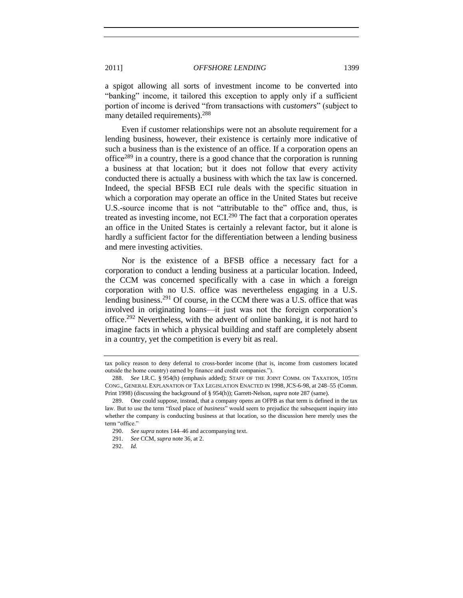a spigot allowing all sorts of investment income to be converted into "banking" income, it tailored this exception to apply only if a sufficient portion of income is derived "from transactions with *customers*" (subject to many detailed requirements).<sup>288</sup>

Even if customer relationships were not an absolute requirement for a lending business, however, their existence is certainly more indicative of such a business than is the existence of an office. If a corporation opens an office<sup>289</sup> in a country, there is a good chance that the corporation is running a business at that location; but it does not follow that every activity conducted there is actually a business with which the tax law is concerned. Indeed, the special BFSB ECI rule deals with the specific situation in which a corporation may operate an office in the United States but receive U.S.-source income that is not "attributable to the" office and, thus, is treated as investing income, not ECI. $^{290}$  The fact that a corporation operates an office in the United States is certainly a relevant factor, but it alone is hardly a sufficient factor for the differentiation between a lending business and mere investing activities.

Nor is the existence of a BFSB office a necessary fact for a corporation to conduct a lending business at a particular location. Indeed, the CCM was concerned specifically with a case in which a foreign corporation with no U.S. office was nevertheless engaging in a U.S. lending business.<sup>291</sup> Of course, in the CCM there was a U.S. office that was involved in originating loans—it just was not the foreign corporation's office.<sup>292</sup> Nevertheless, with the advent of online banking, it is not hard to imagine facts in which a physical building and staff are completely absent in a country, yet the competition is every bit as real.

tax policy reason to deny deferral to cross-border income (that is, income from customers located outside the home country) earned by finance and credit companies.").

<sup>288.</sup> *See* I.R.C. § 954(h) (emphasis added); STAFF OF THE JOINT COMM. ON TAXATION, 105TH CONG., GENERAL EXPLANATION OF TAX LEGISLATION ENACTED IN 1998, JCS-6-98, at 248–55 (Comm. Print 1998) (discussing the background of § 954(h)); Garrett-Nelson, *supra* not[e 287](#page-41-0) (same).

<sup>289.</sup> One could suppose, instead, that a company opens an OFPB as that term is defined in the tax law. But to use the term "fixed place of *business*" would seem to prejudice the subsequent inquiry into whether the company is conducting business at that location, so the discussion here merely uses the term "office."

<sup>290.</sup> *See supra* note[s 144](#page-21-2)[–46](#page-21-5) and accompanying text.

<sup>291.</sup> *See* CCM, *supra* not[e 36,](#page-6-0) at 2.

<sup>292.</sup> *Id.*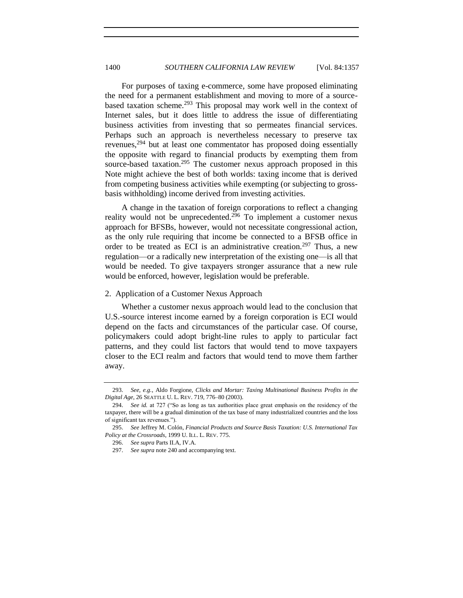For purposes of taxing e-commerce, some have proposed eliminating the need for a permanent establishment and moving to more of a sourcebased taxation scheme.<sup>293</sup> This proposal may work well in the context of Internet sales, but it does little to address the issue of differentiating business activities from investing that so permeates financial services. Perhaps such an approach is nevertheless necessary to preserve tax revenues,  $294$  but at least one commentator has proposed doing essentially the opposite with regard to financial products by exempting them from source-based taxation.<sup>295</sup> The customer nexus approach proposed in this Note might achieve the best of both worlds: taxing income that is derived from competing business activities while exempting (or subjecting to grossbasis withholding) income derived from investing activities.

A change in the taxation of foreign corporations to reflect a changing reality would not be unprecedented.<sup>296</sup> To implement a customer nexus approach for BFSBs, however, would not necessitate congressional action, as the only rule requiring that income be connected to a BFSB office in order to be treated as ECI is an administrative creation.<sup>297</sup> Thus, a new regulation—or a radically new interpretation of the existing one—is all that would be needed. To give taxpayers stronger assurance that a new rule would be enforced, however, legislation would be preferable.

# <span id="page-43-0"></span>2. Application of a Customer Nexus Approach

Whether a customer nexus approach would lead to the conclusion that U.S.-source interest income earned by a foreign corporation is ECI would depend on the facts and circumstances of the particular case. Of course, policymakers could adopt bright-line rules to apply to particular fact patterns, and they could list factors that would tend to move taxpayers closer to the ECI realm and factors that would tend to move them farther away.

<sup>293.</sup> *See, e.g.*, Aldo Forgione, *Clicks and Mortar: Taxing Multinational Business Profits in the Digital Age*, 26 SEATTLE U. L. REV. 719, 776–80 (2003).

<sup>294.</sup> *See id.* at 727 ("So as long as tax authorities place great emphasis on the residency of the taxpayer, there will be a gradual diminution of the tax base of many industrialized countries and the loss of significant tax revenues.").

<sup>295.</sup> *See* Jeffrey M. Colón, *Financial Products and Source Basis Taxation: U.S. International Tax Policy at the Crossroads*, 1999 U. ILL. L. REV. 775.

<sup>296.</sup> *See supra* Parts II.A, IV.A.

<sup>297.</sup> *See supra* not[e 240](#page-34-2) and accompanying text.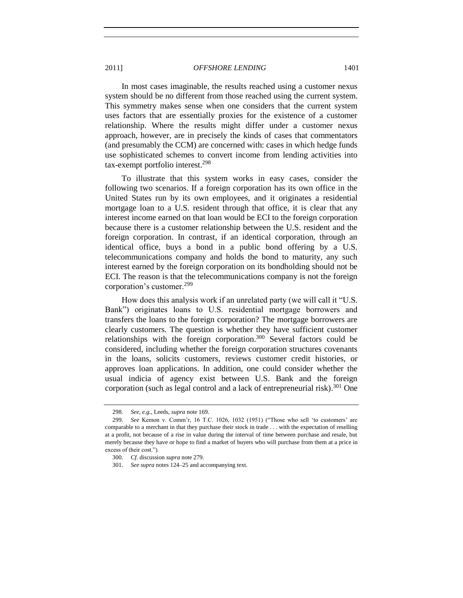In most cases imaginable, the results reached using a customer nexus system should be no different from those reached using the current system. This symmetry makes sense when one considers that the current system uses factors that are essentially proxies for the existence of a customer relationship. Where the results might differ under a customer nexus approach, however, are in precisely the kinds of cases that commentators (and presumably the CCM) are concerned with: cases in which hedge funds use sophisticated schemes to convert income from lending activities into tax-exempt portfolio interest.<sup>298</sup>

To illustrate that this system works in easy cases, consider the following two scenarios. If a foreign corporation has its own office in the United States run by its own employees, and it originates a residential mortgage loan to a U.S. resident through that office, it is clear that any interest income earned on that loan would be ECI to the foreign corporation because there is a customer relationship between the U.S. resident and the foreign corporation. In contrast, if an identical corporation, through an identical office, buys a bond in a public bond offering by a U.S. telecommunications company and holds the bond to maturity, any such interest earned by the foreign corporation on its bondholding should not be ECI. The reason is that the telecommunications company is not the foreign corporation's customer.<sup>299</sup>

How does this analysis work if an unrelated party (we will call it "U.S. Bank") originates loans to U.S. residential mortgage borrowers and transfers the loans to the foreign corporation? The mortgage borrowers are clearly customers. The question is whether they have sufficient customer relationships with the foreign corporation.<sup>300</sup> Several factors could be considered, including whether the foreign corporation structures covenants in the loans, solicits customers, reviews customer credit histories, or approves loan applications. In addition, one could consider whether the usual indicia of agency exist between U.S. Bank and the foreign corporation (such as legal control and a lack of entrepreneurial risk). <sup>301</sup> One

<sup>298.</sup> *See, e.g.*, Leeds, *supra* not[e 169.](#page-25-1)

<sup>299.</sup> *See* Kemon v. Comm'r, 16 T.C. 1026, 1032 (1951) ("Those who sell 'to customers' are comparable to a merchant in that they purchase their stock in trade . . . with the expectation of reselling at a profit, not because of a rise in value during the interval of time between purchase and resale, but merely because they have or hope to find a market of buyers who will purchase from them at a price in excess of their cost.").

<sup>300.</sup> *Cf.* discussion *supra* not[e 279.](#page-40-2)

<sup>301.</sup> *See supra* note[s 124](#page-18-1)[–25](#page-18-2) and accompanying text.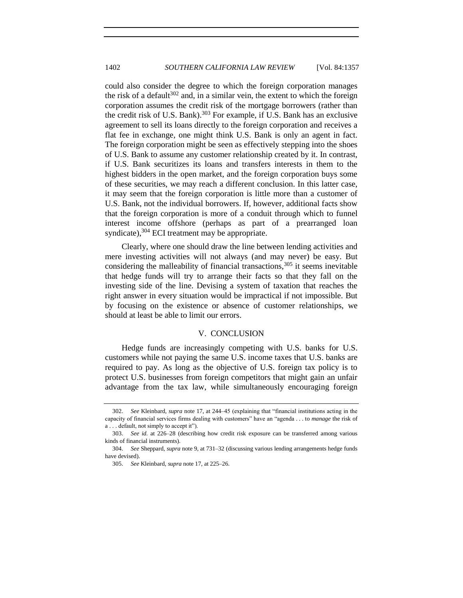could also consider the degree to which the foreign corporation manages the risk of a default<sup>302</sup> and, in a similar vein, the extent to which the foreign corporation assumes the credit risk of the mortgage borrowers (rather than the credit risk of U.S. Bank).<sup>303</sup> For example, if U.S. Bank has an exclusive agreement to sell its loans directly to the foreign corporation and receives a flat fee in exchange, one might think U.S. Bank is only an agent in fact. The foreign corporation might be seen as effectively stepping into the shoes of U.S. Bank to assume any customer relationship created by it. In contrast, if U.S. Bank securitizes its loans and transfers interests in them to the highest bidders in the open market, and the foreign corporation buys some of these securities, we may reach a different conclusion. In this latter case, it may seem that the foreign corporation is little more than a customer of U.S. Bank, not the individual borrowers. If, however, additional facts show that the foreign corporation is more of a conduit through which to funnel interest income offshore (perhaps as part of a prearranged loan syndicate), $304$  ECI treatment may be appropriate.

Clearly, where one should draw the line between lending activities and mere investing activities will not always (and may never) be easy. But considering the malleability of financial transactions,  $305$  it seems inevitable that hedge funds will try to arrange their facts so that they fall on the investing side of the line. Devising a system of taxation that reaches the right answer in every situation would be impractical if not impossible. But by focusing on the existence or absence of customer relationships, we should at least be able to limit our errors.

## V. CONCLUSION

<span id="page-45-0"></span>Hedge funds are increasingly competing with U.S. banks for U.S. customers while not paying the same U.S. income taxes that U.S. banks are required to pay. As long as the objective of U.S. foreign tax policy is to protect U.S. businesses from foreign competitors that might gain an unfair advantage from the tax law, while simultaneously encouraging foreign

<sup>302.</sup> *See Kleinbard, supra* note [17,](#page-3-1) at 244–45 (explaining that "financial institutions acting in the capacity of financial services firms dealing with customers" have an "agenda . . . to *manage* the risk of a . . . default, not simply to accept it").

<sup>303.</sup> *See id.* at 226–28 (describing how credit risk exposure can be transferred among various kinds of financial instruments).

<sup>304.</sup> *See* Sheppard, *supra* note [9,](#page-2-4) at 731–32 (discussing various lending arrangements hedge funds have devised).

<sup>305.</sup> *See* Kleinbard, *supra* not[e 17,](#page-3-1) at 225–26.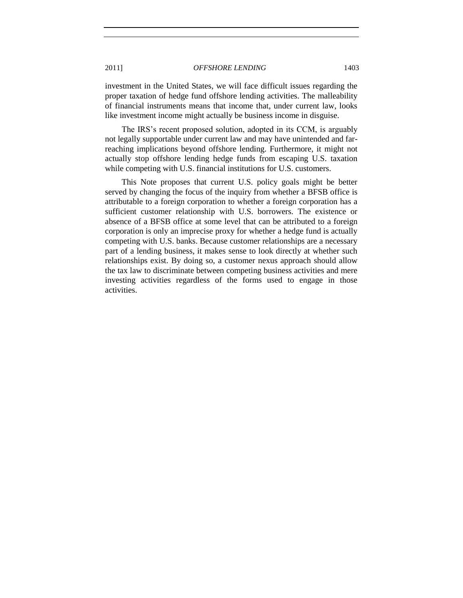investment in the United States, we will face difficult issues regarding the proper taxation of hedge fund offshore lending activities. The malleability of financial instruments means that income that, under current law, looks like investment income might actually be business income in disguise.

The IRS's recent proposed solution, adopted in its CCM, is arguably not legally supportable under current law and may have unintended and farreaching implications beyond offshore lending. Furthermore, it might not actually stop offshore lending hedge funds from escaping U.S. taxation while competing with U.S. financial institutions for U.S. customers.

This Note proposes that current U.S. policy goals might be better served by changing the focus of the inquiry from whether a BFSB office is attributable to a foreign corporation to whether a foreign corporation has a sufficient customer relationship with U.S. borrowers. The existence or absence of a BFSB office at some level that can be attributed to a foreign corporation is only an imprecise proxy for whether a hedge fund is actually competing with U.S. banks. Because customer relationships are a necessary part of a lending business, it makes sense to look directly at whether such relationships exist. By doing so, a customer nexus approach should allow the tax law to discriminate between competing business activities and mere investing activities regardless of the forms used to engage in those activities.